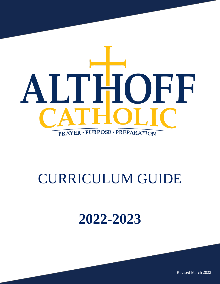

# CURRICULUM GUIDE

# **2022-2023**

Revised March 2022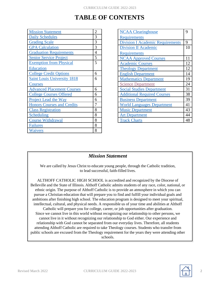# **TABLE OF CONTENTS**

| <b>Mission Statement</b>           | $\overline{2}$ |
|------------------------------------|----------------|
| <b>Daily Schedules</b>             | 3              |
| <b>Grading Scale</b>               | 3              |
| <b>GPA Calculation</b>             | 3              |
| <b>Graduation Requirements</b>     | 4              |
| <b>Senior Service Project</b>      | 5              |
| <b>Exemption from Physical</b>     | 5              |
| <b>Education</b>                   |                |
| <b>College Credit Options</b>      | 6              |
| <b>Saint Louis University 1818</b> | 6              |
| <b>Courses</b>                     |                |
| <b>Advanced Placement Courses</b>  | 6              |
| <b>College Courses Offered</b>     | 6              |
| <b>Project Lead the Way</b>        | 6              |
| <b>Honors Courses and Credits</b>  | 7              |
| <b>Class Registration</b>          | 8              |
| Scheduling                         | 8              |
| <b>Course Withdrawal</b>           | 8              |
| <b>Failures</b>                    | 8              |
| Waivers                            | 8              |

| <b>NCAA Clearinghouse</b>               | 9  |
|-----------------------------------------|----|
| <b>Requirements</b>                     |    |
| <b>Division I Academic Requirements</b> | 9  |
| <b>Division II Academic</b>             | 10 |
| <b>Requirements</b>                     |    |
| <b>NCAA Approved Courses</b>            | 11 |
| <b>Academic Courses</b>                 | 12 |
| <b>Theology Department</b>              | 12 |
| <b>English Department</b>               | 14 |
| <b>Mathematics Department</b>           | 19 |
| <b>Science Department</b>               | 24 |
| <b>Social Studies Department</b>        | 31 |
| <b>Additional Required Courses</b>      | 38 |
| <b>Business Department</b>              | 39 |
| <b>World Languages Department</b>       | 41 |
| <b>Music Department</b>                 | 43 |
| <b>Art Department</b>                   | 44 |
| <b>Track Charts</b>                     | 48 |

### *Mission Statement*

We are called by Jesus Christ to educate young people, through the Catholic tradition, to lead successful, faith-filled lives.

ALTHOFF CATHOLIC HIGH SCHOOL is accredited and recognized by the Diocese of Belleville and the State of Illinois. Althoff Catholic admits students of any race, color, national, or ethnic origin. The purpose of Althoff Catholic is to provide an atmosphere in which you can pursue a Christian education that will prepare you to find and fulfill your individual goals and ambitions after finishing high school. The education program is designed to meet your spiritual, intellectual, cultural, and physical needs. A responsible us of your time and abilities at Althoff Catholic will prepare you for college, career, or job opportunities after graduation. Since we cannot live in this world without recognizing our relationship to other persons, we cannot live in it without recognizing our relationship to God either. Our experience and relationship with God cannot be separated from our everyday lives. Therefore, all students attending Althoff Catholic are required to take Theology courses. Students who transfer from public schools are excused from the Theology requirement for the years they were attending other

schools.

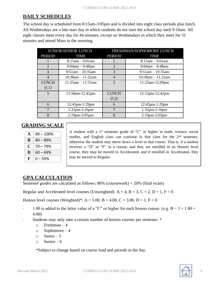# **DAILY SCHEDULES**

The school day is scheduled from 8:15am-3:05pm and is divided into eight class periods plus lunch. All Wednesdays are a late-start day in which students do not start the school day until 9:10am. All eight classes meet every day for 44 minutes, except on Wednesdays in which they meet for 31 minutes and attend Mass in the morning.

| <b>JUNIOR/SENIOR LUNCH</b> |                        | FRESHMAN/SOPHOMORE LUNCH |                        |
|----------------------------|------------------------|--------------------------|------------------------|
| <b>PERIOD</b>              | <b>TIME</b>            | <b>PERIOD</b>            | <b>TIME</b>            |
|                            | $8:15am - 9:01am$      |                          | $8:15$ am $-9:01$ am   |
| $\mathcal{D}_{\cdot}$      | $9:04$ am $-9:48$ am   | $\overline{2}$           | $9:04am - 9:48am$      |
| 3                          | $9:51$ am $-10:35$ am  | 3                        | $9:51$ am $-10:35$ am  |
| $\overline{4}$             | $10:38$ am $-11:22$ am | $\overline{4}$           | $10:38$ am $-11:22$ am |
| <b>LUNCH</b>               | $11:25am - 11:55am$    | $\overline{5}$           | 11:25am-12:09pm        |
| (C1)                       |                        |                          |                        |
| 5                          | 11:58am-12:42pm        | <b>LUNCH</b>             | 12:12pm-12:42pm        |
|                            |                        | (C2)                     |                        |
| 6                          | 12:45pm-1:29pm         | 6                        | $12:45$ pm- $1:29$ pm  |
| 7                          | $1:32$ pm-2:16pm       | 7                        | $1:32pm-2:16pm$        |
| 8                          | $2:19$ pm- $3:05$ pm   | 8                        | $2:19$ pm- $3:05$ pm   |

### **GRADING SCALE**

| $\blacktriangle$ | $90 - 100%$ |
|------------------|-------------|
| R                | $80 - 89%$  |
| C                | 70 – 79%    |
| D                | $60 - 69\%$ |
| F                | 0 – 59%     |

A student with a 1<sup>st</sup> semester grade of "C" or higher in math, science, social studies, and English class can continue in that class for the  $2<sup>nd</sup>$  semester, otherwise the student may move down a level in that course. That is, if a student receives a "D" or "F" in a course, and they are enrolled in an Honors level course, they may be moved to Accelerated, and if enrolled in Accelerated, they may be moved to Regular.

### **GPA CALCULATION**

Semester grades are calculated as follows: 80% (coursework) + 20% (final exam)

Regular and Accelerated level courses (Unweighted):  $A = 4$ ,  $B = 3$ ,  $C = 2$ ,  $D = 1$ ,  $F = 0$ 

Honors level courses (Weighted)\*:  $A = 5.00$ ,  $B = 4.00$ ,  $C = 3.00$ ,  $D = 1$ ,  $F = 0$ 

- 1.00 is added to the letter value of a "C" or higher for each honors course. (e.g.  $B = 3 + 1.00 =$ 4.00)
- ∙ Students may only take a certain number of honors courses per semester. \*
	- $\circ$  Freshman 4
	- o Sophomore 4
	- $\circ$  Junior 5
	- $\circ$  Senior 6

\*Subject to change based on course load and periods in the day.

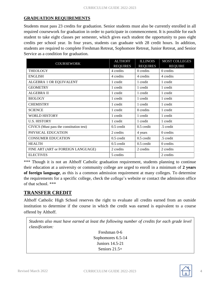#### **GRADUATION REQUIREMENTS**

Students must pass 23 credits for graduation. Senior students must also be currently enrolled in all required coursework for graduation in order to participate in commencement. It is possible for each student to take eight classes per semester, which gives each student the opportunity to pass eight credits per school year. In four years, students can graduate with 28 credit hours. In addition, students are required to complete Freshman Retreat, Sophomore Retreat, Junior Retreat, and Senior Service as a condition for graduation.

| <b>COURSEWORK</b>                        | <b>ALTHOFF</b>  | <b>ILLINOIS</b> | <b>MOST COLLEGES</b> |
|------------------------------------------|-----------------|-----------------|----------------------|
|                                          | <b>REQUIRES</b> | <b>REQUIRES</b> | <b>REQUIRE</b>       |
| <b>THEOLOGY</b>                          | 4 credits       | 0 credits       | 0 credits            |
| <b>ENGLISH</b>                           | 4 credits       | 4 credits       | 4 credits            |
| ALGEBRA 1 OR EQUIVALENT                  | 1 credit        | 1 credit        | 1 credit             |
| <b>GEOMETRY</b>                          | 1 credit        | 1 credit        | 1 credit             |
| <b>ALGEBRA II</b>                        | 1 credit        | 1 credit        | 1 credit             |
| <b>BIOLOGY</b>                           | 1 credit        | 1 credit        | 1 credit             |
| <b>CHEMISTRY</b>                         | 1 credit        | 1 credit        | 1 credit             |
| <b>SCIENCE</b>                           | 1 credit        | 0 credits       | 1 credit             |
| <b>WORLD HISTORY</b>                     | 1 credit        | 1 credit        | 1 credit             |
| <b>U.S. HISTORY</b>                      | 1 credit        | 1 credit        | 1 credit             |
| CIVICS (Must pass the constitution test) | $0.5$ credit    | $0.5$ credit    | .5 credit            |
| PHYSICAL EDUCATION                       | 2 credits       | 4 years         | 0 credits            |
| <b>CONSUMER EDUCATION</b>                | $0.5$ credit    | $0.5$ credit    | .5 credit            |
| <b>HEALTH</b>                            | 0.5 credit      | 0.5 credit      | 0 credits            |
| FINE ART (ART or FOREIGN LANGUAGE)       | 2 credits       | 2 credits       | 2 credits            |
| <b>ELECTIVES</b>                         | 5 credits       |                 | 2 credits            |

\*\*\* Though it is not an Althoff Catholic graduation requirement, students planning to continue their education at a university or community college are urged to enroll in a minimum of **2 years of foreign language**, as this is a common admission requirement at many colleges. To determine the requirements for a specific college, check the college's website or contact the admission office of that school. \*\*\*

### **TRANSFER CREDIT**

Althoff Catholic High School reserves the right to evaluate all credits earned from an outside institution to determine if the course in which the credit was earned is equivalent to a course offered by Althoff.

```
Students also must have earned at least the following number of credits for each grade level
classification:
                                      Freshman 0-6
                                    Sophomores 6.5-14
                                      Juniors 14.5-21
                                      Seniors 21.5+
```
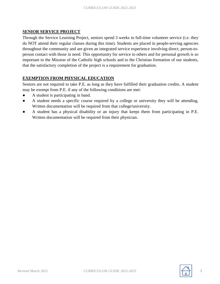#### **SENIOR SERVICE PROJECT**

Through the Service Learning Project, seniors spend 3 weeks in full-time volunteer service (i.e. they do NOT attend their regular classes during this time). Students are placed in people-serving agencies throughout the community and are given an integrated service experience involving direct, person-toperson contact with those in need. This opportunity for service to others and for personal growth is so important to the Mission of the Catholic high schools and to the Christian formation of our students, that the satisfactory completion of the project is a requirement for graduation.

#### **EXEMPTION FROM PHYSICAL EDUCATION**

Seniors are not required to take P.E. as long as they have fulfilled their graduation credits. A student may be exempt from P.E. if any of the following conditions are met:

- A student is participating in band.
- A student needs a specific course required by a college or university they will be attending. Written documentation will be required from that college/university.
- A student has a physical disability or an injury that keeps them from participating in P.E. Written documentation will be required from their physician.

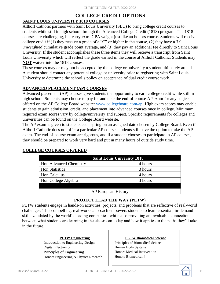### **COLLEGE CREDIT OPTIONS SAINT LOUIS UNIVERSITY 1818 COURSES**

Althoff Catholic partners with Saint Louis University (SLU) to bring college credit courses to students while still in high school through the Advanced College Credit (1818) program. The 1818 courses are challenging, but carry extra GPA weight just like an honors course. Students will receive college credit if (1) they receive a grade of a "C" or higher in the course, (2) they have a 3.0 *unweighted* cumulative grade point average, and (3) they pay an additional fee directly to Saint Louis University. If the student accomplishes these three items they will receive a transcript from Saint Louis University which will reflect the grade earned in the course at Althoff Catholic. Students may **NOT** waiver into the 1818 courses.

These courses may or may not be accepted by the college or university a student ultimately attends. A student should contact any potential college or university prior to registering with Saint Louis University to determine the school's policy on acceptance of dual credit course work.

#### **ADVANCED PLACEMENT (AP) COURSES**

Advanced placement (AP) courses give students the opportunity to earn college credit while still in high school. Students may choose to pay for and take the end-of-course AP exam for any subject offered on the AP College Board website: www.collegeboard.com/ap. High exam scores may enable students to gain admission, credit, and placement into advanced courses once in college. Minimum required exam scores vary by college/university and subject. Specific requirements for colleges and universities can be found on the College Board website.

The AP exam is given to students each spring on an assigned date chosen by College Board. Even if Althoff Catholic does not offer a particular AP course, students still have the option to take the AP exam. The end-of-course exam are rigorous, and if a student chooses to participate in AP courses, they should be prepared to work very hard and put in many hours of outside study time.

| <b>Saint Louis University 1818</b> |         |  |  |
|------------------------------------|---------|--|--|
| <b>Hon Advanced Chemistry</b>      | 4 hours |  |  |
| <b>Hon Statistics</b>              | 3 hours |  |  |
| <b>Hon Calculus</b>                | 4 hours |  |  |
| Hon College Algebra                | 3 hours |  |  |
|                                    |         |  |  |
| <b>AP European History</b>         |         |  |  |

### **COLLEGE COURSES OFFERED**

#### **PROJECT LEAD THE WAY (PLTW)**

PLTW students engage in hands-on activities, projects, and problems that are reflective of real-world challenges. This compelling, real-works approach empowers students to learn essential, in-demand skills validated by the world's leading companies, while also providing an invaluable connection between what students are learning in the classroom today and how it applies to the paths they'll take in the future.

#### **PLTW Engineering**

Introduction to Engineering Design Digital Electronics Principles of Engineering Honors Engineering & Physics Research

#### **PLTW Biomedical Science** Principles of Biomedical Science

Human Body Systems Honors Medical Intervention Honors Biomedical 4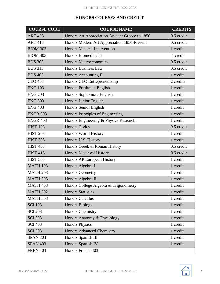#### **HONORS COURSES AND CREDIT**

| <b>COURSE CODE</b> | <b>COURSE NAME</b>                             | <b>CREDITS</b> |
|--------------------|------------------------------------------------|----------------|
| <b>ART 403</b>     | Honors Art Appreciation Ancient Greece to 1850 | $0.5$ credit   |
| <b>ART 413</b>     | Honors Modern Art Appreciation 1850-Present    | 0.5 credit     |
| <b>BIOM 303</b>    | <b>Honors Medical Intervention</b>             | 1 credit       |
| <b>BIOM 403</b>    | Honors Biomedical 4                            | 1 credit       |
| <b>BUS 303</b>     | <b>Honors Macroeconomics</b>                   | $0.5$ credit   |
| <b>BUS 313</b>     | <b>Honors Business Law</b>                     | 0.5 credit     |
| <b>BUS 403</b>     | Honors Accounting II                           | 1 credit       |
| <b>CEO 403</b>     | Honors CEO Entrepreneurship                    | 2 credits      |
| <b>ENG 103</b>     | Honors Freshman English                        | 1 credit       |
| <b>ENG 203</b>     | Honors Sophomore English                       | 1 credit       |
| <b>ENG 303</b>     | Honors Junior English                          | 1 credit       |
| <b>ENG 403</b>     | Honors Senior English                          | 1 credit       |
| <b>ENGR 303</b>    | Honors Principles of Engineering               | 1 credit       |
| <b>ENGR 403</b>    | Honors Engineering & Physics Research          | 1 credit       |
| <b>HIST 103</b>    | <b>Honors Civics</b>                           | $0.5$ credit   |
| <b>HIST 203</b>    | Honors World History                           | 1 credit       |
| <b>HIST 303</b>    | Honors U.S. History                            | 1 credit       |
| <b>HIST 403</b>    | Honors Greek & Roman History                   | $0.5$ credit   |
| <b>HIST 413</b>    | <b>Honors Medieval History</b>                 | $0.5$ credit   |
| <b>HIST 503</b>    | Honors AP European History                     | 1 credit       |
| <b>MATH 103</b>    | Honors Algebra I                               | 1 credit       |
| <b>MATH 203</b>    | <b>Honors Geometry</b>                         | 1 credit       |
| <b>MATH 303</b>    | Honors Algebra II                              | 1 credit       |
| <b>MATH 403</b>    | Honors College Algebra & Trigonometry          | 1 credit       |
| <b>MATH 502</b>    | <b>Honors Statistics</b>                       | 1 credit       |
| <b>MATH 503</b>    | <b>Honors Calculus</b>                         | 1 credit       |
| <b>SCI 103</b>     | <b>Honors Biology</b>                          | 1 credit       |
| <b>SCI 203</b>     | Honors Chemistry                               | 1 credit       |
| <b>SCI 303</b>     | Honors Anatomy & Physiology                    | 1 credit       |
| <b>SCI 403</b>     | <b>Honors Physics</b>                          | 1 credit       |
| <b>SCI 503</b>     | <b>Honors Advanced Chemistry</b>               | 1 credit       |
| <b>SPAN 303</b>    | Honors Spanish III                             | 1 credit       |
| <b>SPAN 403</b>    | Honors Spanish IV                              | 1 credit       |
| <b>FREN 403</b>    | Honors French 403                              |                |

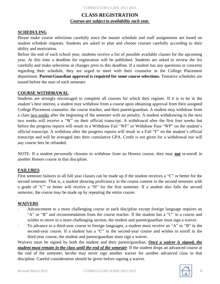## **CLASS REGISTRATION** *Courses are subject to availability each year.*

#### **SCHEDULING**

Please make course selections carefully since the master schedule and staff assignments are based on student schedule requests. Students are asked to plan and choose courses carefully according to their ability and motivation.

Before the end of each school year, students receive a list of possible available classes for the upcoming year. At this time a deadline for registration will be published. Students are asked to review the list carefully and make selections or changes prior to this deadline. If a student has any questions or concerns regarding their schedule, they are urged to meet with their counselor in the College Placement department. **Parent/Guardian approval is required for some course selections.** Tentative schedules are issued before the start of each semester.

#### **COURSE WITHDRAWAL**

Students are strongly encouraged to complete all courses for which they register. If it is to be in the student's best interest, a student may withdraw from a course upon obtaining approval from their assigned College Placement counselor, the course teacher, and their parent/guardian. A student may withdraw from a class two weeks after the beginning of the semester with no penalty. A student withdrawing in the next two weeks will receive a "W" on their official transcript. A withdrawal after the first four weeks but before the progress reports will result in a Withdraw Fail "WF" or Withdraw Pass "WP" on the student's official transcript. A withdraw after the progress reports will result in a Fail "F" on the student's official transcript and will be averaged into their cumulative GPA. Credit is not given for a withdrawal nor will any course fees be refunded.

NOTE: If a student *personally* chooses to withdraw from an Honors course, they may **not** re-enroll in another Honors course in that discipline.

#### **FAILURES**

First semester failures in all full year classes can be made up if the student receives a "C" or better for the second semester. That is, a student showing proficiency in the course content in the second semester with a grade of "C" or better will receive a "D" for the first semester. If a student also fails the second semester, the course may be made up by repeating the entire course.

#### **WAIVERS**

- ∙ Advancement to a more challenging course in each discipline except foreign language requires an "A" or "B" and recommendation from the course teacher. If the student has a "C" in a course and wishes to move to a more challenging section, the student and parent/guardian must sign a waiver.
- ∙ To advance to a third-year course in foreign languages, a student must receive an "A" or "B" in the second-year course. If a student has a "C" in the second-year course and wishes to enroll in the third-year course, the student and parent/guardian must sign a waiver.

Waivers must be signed by both the student and their parent/guardian. *Once a waiver is signed, the student must remain in the class until the end of the semester*. If the student drops an advanced course at the end of the semester, he/she may never sign another waiver for another advanced class in that discipline. Careful consideration should be given before signing a waiver.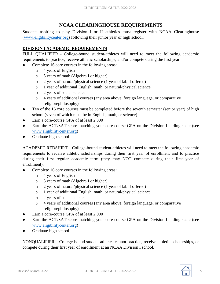# **NCAA CLEARINGHOUSE REQUIREMENTS**

Students aspiring to play Division I or II athletics must register with NCAA Clearinghouse (www.eligibilitycenter.org) following their junior year of high school.

### **DIVISION I ACADEMIC REQUIREMENTS**

FULL QUALIFIER - College-bound student-athletes will need to meet the following academic requirements to practice, receive athletic scholarships, and/or compete during the first year:

- Complete 16 core courses in the following areas:
	- o 4 years of English
	- o 3 years of math (Algebra I or higher)
	- o 2 years of natural/physical science (1 year of lab if offered)
	- o 1 year of additional English, math, or natural/physical science
	- o 2 years of social science
	- o 4 years of additional courses (any area above, foreign language, or comparative religion/philosophy)
- Ten of the 16 core courses must be completed before the seventh semester (senior year) of high school (seven of which must be in English, math, or science)
- Earn a core-course GPA of at least 2.300
- Earn the ACT/SAT score matching your core-course GPA on the Division I sliding scale (see www.eligibilitycenter.org)
- Graduate high school

ACADEMIC REDSHIRT – College-bound student-athletes will need to meet the following academic requirements to receive athletic scholarships during their first year of enrollment and to practice during their first regular academic term (they may NOT compete during their first year of enrollment):

- Complete 16 core courses in the following areas:
	- o 4 years of English
	- o 3 years of math (Algebra I or higher)
	- o 2 years of natural/physical science (1 year of lab if offered)
	- o 1 year of additional English, math, or natural/physical science
	- o 2 years of social science
	- o 4 years of additional courses (any area above, foreign language, or comparative religion/philosophy)
- Earn a core-course GPA of at least 2.000
- Earn the ACT/SAT score matching your core-course GPA on the Division I sliding scale (see www.eligibilitycenter.org)
- Graduate high school

NONQUALIFIER – College-bound student-athletes cannot practice, receive athletic scholarships, or compete during their first year of enrollment at an NCAA Division I school.

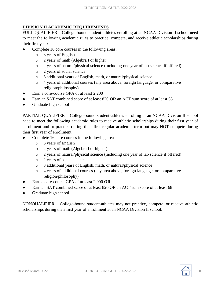### **DIVISION II ACADEMIC REQUIREMENTS**

FULL QUALIFIER – College-bound student-athletes enrolling at an NCAA Division II school need to meet the following academic rules to practice, compete, and receive athletic scholarships during their first year:

- Complete 16 core courses in the following areas:
	- o 3 years of English
	- o 2 years of math (Algebra I or higher)
	- o 2 years of natural/physical science (including one year of lab science if offered)
	- o 2 years of social science
	- o 3 additional years of English, math, or natural/physical science
	- o 4 years of additional courses (any area above, foreign language, or comparative religion/philosophy)
- Earn a core-course GPA of at least 2.200
- Earn an SAT combined score of at least 820 OR an ACT sum score of at least 68
- Graduate high school

PARTIAL QUALIFIER – College-bound student-athletes enrolling at an NCAA Division II school need to meet the following academic rules to receive athletic scholarships during their first year of enrollment and to practice during their first regular academic term but may NOT compete during their first year of enrollment:

- Complete 16 core courses in the following areas:
	- o 3 years of English
	- o 2 years of math (Algebra I or higher)
	- o 2 years of natural/physical science (including one year of lab science if offered)
	- o 2 years of social science
	- o 3 additional years of English, math, or natural/physical science
	- o 4 years of additional courses (any area above, foreign language, or comparative religion/philosophy)
- Earn a core-course GPA of at least 2.000 **OR**
- Earn an SAT combined score of at least 820 OR an ACT sum score of at least 68
- Graduate high school

NONQUALIFIER – College-bound student-athletes may not practice, compete, or receive athletic scholarships during their first year of enrollment at an NCAA Division II school.

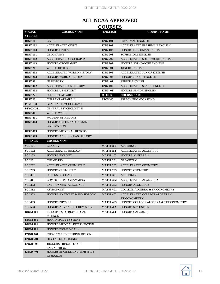# **ALL NCAA APPROVED**

| <b>COURSES</b>                   |                                                        |                                    |                                                                            |  |
|----------------------------------|--------------------------------------------------------|------------------------------------|----------------------------------------------------------------------------|--|
| <b>SOCIAL</b>                    | <b>COURSE NAME</b>                                     | <b>ENGLISH</b>                     | <b>COURSE NAME</b>                                                         |  |
| <b>STUDIES</b>                   |                                                        |                                    |                                                                            |  |
| <b>HIST 101</b>                  | <b>CIVICS</b>                                          | <b>ENG 101</b>                     | <b>FRESHMAN ENGLISH</b>                                                    |  |
| <b>HIST 102</b>                  | <b>ACCELERATED CIVICS</b>                              | <b>ENG 102</b>                     | ACCELERATED FRESHMAN ENGLISH                                               |  |
| <b>HIST 103</b>                  | <b>HONORS CIVICS</b>                                   | <b>ENG 103</b>                     | HONORS FRESHMAN ENGLISH                                                    |  |
| <b>HIST 111</b>                  | <b>GEOGRAPHY</b>                                       | <b>ENG 201</b>                     | <b>SOPHOMORE ENGLISH</b>                                                   |  |
| <b>HIST 112</b>                  | ACCELERATED GEOGRAPHY                                  | <b>ENG 202</b>                     | ACCELERATED SOPHOMORE ENGLISH                                              |  |
| <b>HIST 113</b>                  | <b>HONORS GEOGRAPHY</b>                                | <b>ENG 203</b>                     | HONORS SOPHOMORE ENGLISH                                                   |  |
| <b>HIST 201</b>                  | <b>WORLD HISTORY</b>                                   | <b>ENG 301</b>                     | <b>JUNIOR ENGLISH</b>                                                      |  |
| <b>HIST 202</b>                  | ACCELERATED WORLD HISTORY                              | <b>ENG 302</b>                     | ACCELERATED JUNIOR ENGLISH                                                 |  |
| <b>HIST 203</b>                  | <b>HONORS WORLD HISTORY</b>                            | <b>ENG 303</b>                     | <b>HONORS JUNIOR ENGLISH</b>                                               |  |
| <b>HIST 301</b>                  | <b>US HISTORY</b>                                      | <b>ENG 401</b>                     | <b>SENIOR ENGLISH</b>                                                      |  |
| <b>HIST 302</b>                  | <b>ACCELERATED US HISTORY</b>                          | <b>ENG 402</b>                     | <b>ACCELERATED SENIOR ENGLISH</b>                                          |  |
| <b>HIST 303</b>                  | HONORS US HISTORY                                      | <b>ENG 403</b>                     | <b>HONORS SENIOR ENGLISH</b>                                               |  |
| <b>HIST 221</b>                  | <b>CURRENT AFFAIRS I</b>                               | <b>OTHER</b>                       | <b>COURSE NAME</b>                                                         |  |
| <b>HIST 231</b>                  | <b>CURRENT AFFAIRS II</b>                              | <b>SPCH 401</b>                    | SPEECH/BROADCASTING                                                        |  |
| <b>PSYCH 301</b>                 | <b>GENERAL PSYCHOLOGY 1</b>                            |                                    |                                                                            |  |
| <b>PSYCH 311</b>                 | <b>GENERAL PSYCHOLOGY II</b>                           |                                    |                                                                            |  |
| <b>HIST 401</b>                  | <b>WORLD WARS</b>                                      |                                    |                                                                            |  |
| <b>HIST 411</b>                  | <b>MODERN US HISTORY</b>                               |                                    |                                                                            |  |
| <b>HIST 403</b>                  | <b>HONORS GREEK AND ROMAN</b><br><b>CIVILIZATION</b>   |                                    |                                                                            |  |
| <b>HIST 413</b>                  | HONORS MEDIEVAL HISTORY                                |                                    |                                                                            |  |
| <b>HIST 503</b>                  | HONORS AP EUROPEAN HISTORY                             |                                    |                                                                            |  |
| <b>SCIENCE</b>                   | <b>COURSE NAME</b>                                     |                                    |                                                                            |  |
|                                  |                                                        |                                    |                                                                            |  |
| <b>SCI 101</b>                   | <b>BIOLOGY</b>                                         | <b>MATH 101</b>                    | ALGEBRA 1                                                                  |  |
| <b>SCI 102</b>                   | <b>ACCELERATED BIOLOGY</b>                             | <b>MATH 102</b>                    | <b>ACCELERATED ALGEBRA 1</b>                                               |  |
| <b>SCI 103</b>                   | <b>HONORS BIOLOGY</b>                                  | <b>MATH 103</b>                    | <b>HONORS ALGEBRA 1</b>                                                    |  |
| <b>SCI 201</b>                   | <b>CHEMISTRY</b>                                       | <b>MATH 201</b>                    | <b>GEOMETRY</b>                                                            |  |
|                                  | <b>ACCELERATED CHEMISTRY</b>                           | <b>MATH 202</b>                    | <b>ACCELERATED GEOMETRY</b>                                                |  |
| <b>SCI 202</b>                   |                                                        |                                    | <b>HONORS GEOMETRY</b>                                                     |  |
| <b>SCI 203</b>                   | <b>HONORS CHEMISTRY</b>                                | <b>MATH 203</b>                    |                                                                            |  |
| <b>SCI 301</b>                   | <b>FORENSIC SCIENCE</b><br><b>COMPUTER PROGRAMMING</b> | <b>MATH 301</b>                    | ALGEBRA 2                                                                  |  |
| <b>SCI 311</b>                   |                                                        | <b>MATH 302</b>                    | <b>ACCELERATED ALGEBRA 2</b>                                               |  |
| <b>SCI 302</b>                   | ENVIRONMENTAL SCIENCE                                  | <b>MATH 303</b>                    | HONORS ALGEBRA 2                                                           |  |
| <b>SCI 312</b><br><b>SCI 303</b> | <b>ASTRONOMY</b><br>HONORS ANATOMY & PHYSIOLOGY        | <b>MATH 401</b><br><b>MATH 402</b> | <b>COLLEGE ALGEBRA &amp; TRIGONOMETRY</b><br>ACCELERATED COLLEGE ALGEBRA & |  |
|                                  |                                                        |                                    | <b>TRIGONOMETRY</b>                                                        |  |
| <b>SCI 403</b>                   | <b>HONORS PHYSICS</b>                                  | <b>MATH 403</b>                    | HONORS COLLEGE ALGEBRA & TRIGONOMETRY                                      |  |
| <b>SCI 503</b>                   | HONORS ADVANCED CHEMISTRY                              | <b>MATH 502</b>                    | <b>HONORS STATISTICS</b>                                                   |  |
| <b>BIOM 101</b>                  | PRINCIPLES OF BIOMEDICAL                               | <b>MATH 503</b>                    | <b>HONORS CALCULUS</b>                                                     |  |
| <b>BIOM 201</b>                  | <b>SCIENCE</b><br><b>HUMAN BODY SYSTEMS</b>            |                                    |                                                                            |  |
| <b>BIOM 301</b>                  | HONORS MEDICAL INTERVENTION                            |                                    |                                                                            |  |
|                                  | <b>HONORS BIOMEDICAL 4</b>                             |                                    |                                                                            |  |
| <b>BIOM 401</b>                  |                                                        |                                    |                                                                            |  |
| <b>ENGR 101</b>                  | <b>INTRO TO ENGINEERING DESIGN</b>                     |                                    |                                                                            |  |
| <b>ENGR 201</b>                  | <b>DIGITAL ELECTRONICS</b>                             |                                    |                                                                            |  |
| <b>ENGR 303</b>                  | <b>JHONORS PRINCIPLES OF</b><br><b>ENGINEERING</b>     |                                    |                                                                            |  |

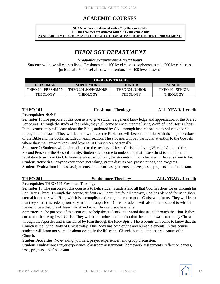# **ACADEMIC COURSES**

#### **NCAA courses are denoted with a \* by the course title SLU 1818 courses are denoted with a ^ by the course title AVAILABILITY OF COURSES IS SUBJECT TO CHANGE BASED ON STUDENT ENROLLMENT.**

# *THEOLOGY DEPARTMENT*

#### *Graduation requirement: 4 credit hours*

Students will take all classes listed. Freshmen take 100 level classes, sophomores take 200 level classes, juniors take 300 level classes, and seniors take 400 level classes.

| <b>THEOLOGY TRACKS</b> |                    |                 |                 |
|------------------------|--------------------|-----------------|-----------------|
| <b>FRESHMAN</b>        | <b>SOPHOMORE</b>   | <b>JUNIOR</b>   | <b>SENIOR</b>   |
| THEO 101 FRESHMAN      | THEO 201 SOPHOMORE | THEO 301 JUNIOR | THEO 401 SENIOR |
| <b>THEOLOGY</b>        | <b>THEOLOGY</b>    | <b>THEOLOGY</b> | <b>THEOLOGY</b> |

#### **THEO 101 Freshman Theology ALL YEAR/ 1 credit**

#### **Prerequisite:** NONE

**Semester 1:** The purpose of this course is to give students a general knowledge and appreciation of the Scared Scriptures. Through the study of the Bible, they will come to encounter the living Word of God, Jesus Christ. In this course they will learn about the Bible, authored by God, through inspiration and its value to people throughout the world. They will learn how to read the Bible and will become familiar with the major sections of the Bible and the books included in each section. The students will pay particular attention to the Gospels where they may grow to know and love Jesus Christ more personally.

**Semester 2:** Students will be introduced to the mystery of Jesus Christ, the living Word of God, and the Second Person of the Blessed Trinity. Students will come to understand that Jesus Christ is the ultimate revelation to us from God. In learning about who He is, the students will also learn who He calls them to be. **Student Activities:** Prayer experiences, not taking, group discussions, presentations, and exegesis. **Student Evaluation:** In-class assignments, homework assignments, quizzes, tests, projects, and final exam.

### **THEO 201 Sophomore Theology ALL YEAR / 1 credit**

#### **Prerequisite:** THEO 101 Freshman Theology

**Semester 1:** The purpose of this course is to help students understand all that God has done for us through his Son, Jesus Christ. Through this course, students will learn that for all eternity, God has planned for us to share eternal happiness with Him, which is accomplished through the redemption Christ won for us. They will learn that they share this redemption only in and through Jesus Christ. Students will also be introduced to what it means to be a disciple of Jesus Christ and what life as a disciple entails.

**Semester 2:** The purpose of this course is to help the students understand that in and through the Church they encounter the living Jesus Christ. They will be introduced to the fact that the church was founded by Christ through the Apostles and is sustained by Him through the Holy Spirit. The students will come to know that the Church is the living Body of Christ today. This Body has both divine and human elements. In this course students will learn not so much about events in the life of the Church, but about the sacred nature of the Church.

**Student Activities:** Note-taking, journals, prayer experiences, and group discussion.

**Student Evaluation:** Prayer experience, classroom assignments, homework assignments, reflection papers, tests, projects, and final exam.

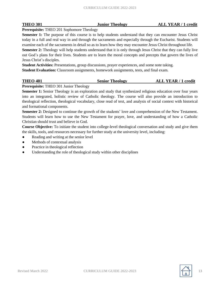**THEO 301 Junior Theology ALL YEAR / 1 credit**

**Prerequisite:** THEO 201 Sophomore Theology

**Semester 1:** The purpose of this course is to help students understand that they can encounter Jesus Christ today in a full and real way in and through the sacraments and especially through the Eucharist. Students will examine each of the sacraments in detail so as to learn how they may encounter Jesus Christ throughout life.

**Semester 2:** Theology will help students understand that it is only through Jesus Christ that they can fully live out God's plans for their lives. Students are to learn the moral concepts and precepts that govern the lives of Jesus Christ's disciples.

**Student Activities:** Presentations, group discussions, prayer experiences, and some note taking. **Student Evaluation:** Classroom assignments, homework assignments, tests, and final exam.

| <b>THEO 401</b> | <b>Senior Theology</b> | <b>ALL YEAR / 1 credit</b> |
|-----------------|------------------------|----------------------------|
|                 |                        |                            |

**Prerequisite:** THEO 301 Junior Theology

**Semester 1:** Senior Theology is an exploration and study that synthesized religious education over four years into an integrated, holistic review of Catholic theology. The course will also provide an introduction to theological reflection, theological vocabulary, close read of text, and analysis of social context with historical and formational components.

**Semester 2:** Designed to continue the growth of the students' love and comprehension of the New Testament. Students will learn how to use the New Testament for prayer, love, and understanding of how a Catholic Christian should trust and believe in God.

**Course Objective:** To initiate the student into college-level theological conversation and study and give them the skills, tools, and resources necessary for further study at the university level, including:

- Reading and writing at the senior level
- Methods of contextual analysis
- Practice in theological reflection
- Understanding the role of theological study within other disciplines

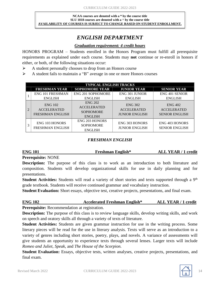#### **NCAA courses are denoted with a \* by the course title SLU 1818 courses are denoted with a ^ by the course title AVAILABILITY OF COURSES IS SUBJECT TO CHANGE BASED ON STUDENT ENROLLMENT.**

# *ENGLISH DEPARTMENT*

#### *Graduation requirement: 4 credit hours*

HONORS PROGRAM – Students enrolled in the Honors Program must fulfill all prerequisite requirements as explained under each course. Students may **not** continue or re-enroll in honors if either, or both, of the following situations occur:

 $\triangleright$  A student personally chooses to drop from an Honors course

⮚ A student fails to maintain a "B" average in one or more Honors courses

|                | <b>TYPICAL ENGLISH TRACKS</b>                                   |                                                                            |                                                               |                                                               |  |  |
|----------------|-----------------------------------------------------------------|----------------------------------------------------------------------------|---------------------------------------------------------------|---------------------------------------------------------------|--|--|
|                | <b>FRESHMAN YEAR</b>                                            | <b>SOPHOMORE YEAR</b>                                                      | <b>JUNIOR YEAR</b>                                            | <b>SENIOR YEAR</b>                                            |  |  |
|                | <b>ENG 101 FRESHMAN</b>                                         | <b>ENG 201 SOPHOMORE</b>                                                   | <b>ENG 301 JUNIOR</b>                                         | <b>ENG 401 SENIOR</b>                                         |  |  |
|                | <b>ENGLISH</b>                                                  | <b>ENGLISH</b>                                                             | <b>ENGLISH</b>                                                | <b>ENGLISH</b>                                                |  |  |
| $\overline{2}$ | <b>ENG 102</b><br><b>ACCELERATED</b><br><b>FRESHMAN ENGLISH</b> | <b>ENG 202</b><br><b>ACCELERATED</b><br><b>SOPHOMORE</b><br><b>ENGLISH</b> | <b>ENG 302</b><br><b>ACCELERATED</b><br><b>JUNIOR ENGLISH</b> | <b>ENG 402</b><br><b>ACCELERATED</b><br><b>SENIOR ENGLISH</b> |  |  |
| 3              | <b>ENG 103 HONORS</b><br><b>FRESHMAN ENGLISH</b>                | <b>ENG 203 HONORS</b><br><b>SOPHOMORE</b><br><b>ENGLISH</b>                | <b>ENG 303 HONORS</b><br><b>JUNIOR ENGLISH</b>                | <b>ENG 403 HONORS</b><br><b>SENIOR ENGLISH</b>                |  |  |

### *FRESHMAN ENGLISH*

#### **ENG 101 Freshman English\* ALL YEAR / 1 credit**

**Prerequisite:** NONE

**Description:** The purpose of this class is to work as an introduction to both literature and composition. Students will develop organizational skills for use in daily planning and for presentations.

Student Activities: Students will read a variety of short stories and texts supported through a 9<sup>th</sup> grade textbook. Students will receive continued grammar and vocabulary instruction.

**Student Evaluation:** Short essays, objective test, creative projects, presentations, and final exam.

# **ENG 102 Accelerated Freshman English\* ALL YEAR / 1 credit**

**Prerequisite:** Recommendation at registration.

**Description:** The purpose of this class is to review language skills, develop writing skills, and work on speech and oratory skills all through a variety of texts of literature.

**Student Activities:** Students are given grammar instruction for use in the writing process. Some literary pieces will be read for the use in literary analysis. Texts will serve as an introduction to a variety of genres including short stories, poetry, plays, and novels. A variance of assessments will give students an opportunity to experience texts through several lenses. Larger texts will include *Romeo and Juliet, Speak,* and *The House of the Scorpion.*

**Student Evaluation:** Essays, objective tests, written analyses, creative projects, presentations, and final exam.

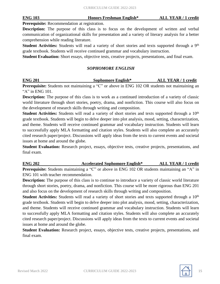**Prerequisite:** Recommendation at registration.

**Description:** The purpose of this class is to focus on the development of written and verbal communication of organizational skills for presentation and a variety of literary analysis for a better comprehension while reading literature.

Student Activities: Students will read a variety of short stories and texts supported through a 9<sup>th</sup> grade textbook. Students will receive continued grammar and vocabulary instruction.

**Student Evaluation:** Short essays, objective tests, creative projects, presentations, and final exam.

#### *SOPHOMORE ENGLISH*

| <b>ENG 201</b> | <b>Sophomore English*</b> | <b>ALL YEAR / 1 credit</b> |
|----------------|---------------------------|----------------------------|
|                |                           |                            |

**Prerequisite:** Students not maintaining a "C" or above in ENG 102 OR students not maintaining an " $A$ " in ENG 101.

**Description:** The purpose of this class is to work as a continued introduction of a variety of classic world literature through short stories, poetry, drama, and nonfiction. This course will also focus on the development of research skills through writing and composition.

**Student Activities:** Students will read a variety of short stories and texts supported through a 10<sup>th</sup> grade textbook. Students will begin to delve deeper into plot analysis, mood, setting, characterization, and theme. Students will receive continued grammar and vocabulary instruction. Students will learn to successfully apply MLA formatting and citation styles. Students will also complete an accurately cited research paper/project. Discussions will apply ideas from the texts to current events and societal issues at home and around the globe.

**Student Evaluation:** Research project, essays, objective tests, creative projects, presentations, and final exam.

**ENG 202 Accelerated Sophomore English\* ALL YEAR / 1 credit Prerequisite:** Students maintaining a "C" or above in ENG 102 OR students maintaining an "A" in ENG 101 with teacher recommendation.

**Description:** The purpose of this class is to continue to introduce a variety of classic world literature through short stories, poetry, drama, and nonfiction. This course will be more rigorous than ENG 201 and also focus on the development of research skills through writing and composition.

**Student Activities:** Students will read a variety of short stories and texts supported through a 10<sup>th</sup> grade textbook. Students will begin to delve deeper into plot analysis, mood, setting, characterization, and theme. Students will receive continued grammar and vocabulary instruction. Students will learn to successfully apply MLA formatting and citation styles. Students will also complete an accurately cited research paper/project. Discussions will apply ideas from the texts to current events and societal issues at home and around the globe.

**Student Evaluation:** Research project, essays, objective tests, creative projects, presentations, and final exam.

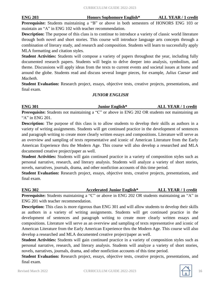**Prerequisite:** Students maintaining a "B" or above in both semesters of HONORS ENG 103 or maintain an "A" in ENG 102 with teacher recommendation.

**Description:** The purpose of this class is to continue to introduce a variety of classic world literature through both novel and short stories. This course will introduce language arts concepts through a combination of literary study, and research and composition. Students will learn to successfully apply MLA formatting and citation styles.

**Student Activities:** Students will compose a variety of papers throughout the year, including fully documented research papers. Students will begin to delve deeper into analysis, symbolism, and theme. Discussions will apply ideas from the texts to current events and societal issues at home and around the globe. Students read and discuss several longer pieces, for example, *Julius Caesar* and *Macbeth.*

**Student Evaluation:** Research project, essays, objective tests, creative projects, presentations, and final exam.

#### *JUNIOR ENGLISH*

# **ENG 301 Junior English\* ALL YEAR / 1 credit**

**Prerequisite:** Students not maintaining a "C" or above in ENG 202 OR students not maintaining an "A" in ENG 201.

**Description:** The purpose of this class is to allow students to develop their skills as authors in a variety of writing assignments. Students will get continued practice in the development of sentences and paragraph writing to create more clearly written essays and compositions. Literature will serve as an overview and sampling of texts representative and iconic of American Literature from the Early American Experience thru the Modern Age. This course will also develop a researched and MLA documented creative project/paper as well.

**Student Activities:** Students will gain continued practice in a variety of composition styles such as personal narrative, research, and literary analysis. Students will analyze a variety of short stories, novels, narratives, journals, drama, and other nonfiction accounts of this time period.

**Student Evaluation:** Research project, essays, objective tests, creative projects, presentations, and final exam.

**ENG 302 Accelerated Junior English\* ALL YEAR / 1 credit**

**Prerequisite:** Students maintaining a "C" or above in ENG 202 OR students maintaining an "A" in ENG 201 with teacher recommendation.

**Description:** This class is more rigorous than ENG 301 and will allow students to develop their skills as authors in a variety of writing assignments. Students will get continued practice in the development of sentences and paragraph writing to create more clearly written essays and compositions. Literature will serve as an overview and sampling of texts representative and iconic of American Literature from the Early American Experience thru the Modern Age. This course will also develop a researched and MLA documented creative project/paper as well.

**Student Activities:** Students will gain continued practice in a variety of composition styles such as personal narrative, research, and literary analysis. Students will analyze a variety of short stories, novels, narratives, journals, drama, and other nonfiction accounts of this time period.

**Student Evaluation:** Research project, essays, objective tests, creative projects, presentations, and final exam.

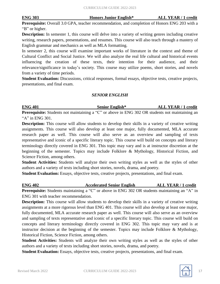**ENG 303 Honors Junior English\* ALL YEAR / 1 credit**

**Prerequisite:** Overall 3.0 GPA, teacher recommendation, and completion of Honors ENG 203 with a "B" or higher.

**Description:** In semester 1, this course will delve into a variety of writing genres including creative writing, research papers, presentations, and resumes. This course will also teach through a mastery of English grammar and mechanics as well as MLA formatting.

In semester 2, this course will examine important works of literature in the context and theme of Cultural Conflict and Social Justice. We will also analyze the real life cultural and historical events influencing the creation of these texts, their intention for their audience, and their relevance/significance in today's society. This course may utilize poems, short stories, and novels from a variety of time periods.

**Student Evaluation:** Discussions, critical responses, formal essays, objective tests, creative projects, presentations, and final exam.

#### *SENIOR ENGLISH*

**ENG 401 Senior English\* ALL YEAR / 1 credit Prerequisite:** Students not maintaining a "C" or above in ENG 302 OR students not maintaining an "A" in ENG 301.

**Description:** This course will allow students to develop their skills in a variety of creative writing assignments. This course will also develop at least one major, fully documented, MLA accurate research paper as well. This course will also serve as an overview and sampling of texts representative and iconic of a specific literary topic. This course will build on concepts and literary terminology directly covered in ENG 301. This topic may vary and is at instructor discretion at the beginning of the semester. Topics may include Folklore & Mythology, Historical Fiction, and Science Fiction, among others.

**Student Activities:** Students will analyze their own writing styles as well as the styles of other authors and a variety of texts including short stories, novels, drama, and poetry.

**Student Evaluation:** Essays, objective tests, creative projects, presentations, and final exam.

**ENG 402 Accelerated Senior English ALL YEAR / 1 credit Prerequisite:** Students maintaining a "C" or above in ENG 302 OR students maintaining an "A" in ENG 301 with teacher recommendation.

**Description:** This course will allow students to develop their skills in a variety of creative writing assignments at a more rigorous level than ENG 401. This course will also develop at least one major, fully documented, MLA accurate research paper as well. This course will also serve as an overview and sampling of texts representative and iconic of a specific literary topic. This course will build on concepts and literary terminology directly covered in ENG 302. This topic may vary and is at instructor decision at the beginning of the semester. Topics may include Folklore & Mythology, Historical Fiction, Science Fiction, among others.

**Student Activities:** Students will analyze their own writing styles as well as the styles of other authors and a variety of texts including short stories, novels, drama, and poetry.

**Student Evaluation:** Essays, objective tests, creative projects, presentations, and final exam.

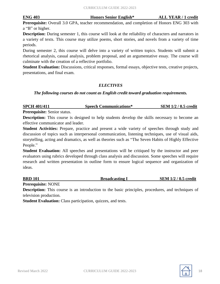**ENG 403 Honors Senior English\* ALL YEAR / 1 credit**

**Prerequisite:** Overall 3.0 GPA, teacher recommendation, and completion of Honors ENG 303 with a "B" or higher.

**Description:** During semester 1, this course will look at the reliability of characters and narrators in a variety of texts. This course may utilize poems, short stories, and novels from a variety of time periods.

During semester 2, this course will delve into a variety of written topics. Students will submit a rhetorical analysis, casual analysis, problem proposal, and an argumentative essay. The course will culminate with the creation of a reflective portfolio.

**Student Evaluation:** Discussions, critical responses, formal essays, objective tests, creative projects, presentations, and final exam.

#### *ELECTIVES*

#### *The following courses do not count as English credit toward graduation requirements.*

| <b>SPCH 401/411</b> | <b>Speech Communications*</b> | <b>SEM 1/2 / 0.5 credit</b> |
|---------------------|-------------------------------|-----------------------------|
|                     |                               |                             |

**Prerequisite:** Senior status.

**Description:** This course is designed to help students develop the skills necessary to become an effective communicator and leader.

**Student Activities:** Prepare, practice and present a wide variety of speeches through study and discussion of topics such as interpersonal communication, listening techniques, use of visual aids, storytelling, acting and dramatics, as well as theories such as "The Seven Habits of Highly Effective People."

**Student Evaluation:** All speeches and presentations will be critiqued by the instructor and peer evaluators using rubrics developed through class analysis and discussion. Some speeches will require research and written presentation in outline form to ensure logical sequence and organization of ideas.

| <b>BRD 101</b> | <b>Broadcasting 1</b> | <b>SEM 1/2 / 0.5 credit</b> |
|----------------|-----------------------|-----------------------------|
|                |                       |                             |

**Prerequisite:** NONE

**Description:** This course is an introduction to the basic principles, procedures, and techniques of television production.

**Student Evaluation:** Class participation, quizzes, and tests.

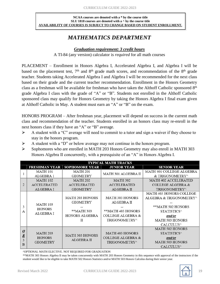#### **NCAA courses are denoted with a \* by the course title SLU 1818 courses are denoted with a ^ by the course title AVAILABILITY OF COURSES IS SUBJECT TO CHANGE BASED ON STUDENT ENROLLMENT.**

# *MATHEMATICS DEPARTMENT*

#### *Graduation requirement: 3 credit hours*

A TI-84 (any version) calculator is *required* for all math courses

PLACEMENT – Enrollment in Honors Algebra I, Accelerated Algebra I, and Algebra I will be based on the placement test,  $7<sup>th</sup>$  and  $8<sup>th</sup>$  grade math scores, and recommendation of the  $8<sup>th</sup>$  grade teacher. Students taking Accelerated Algebra I and Algebra I will be recommended for the next class based on their grade and the current teacher recommendation. Enrollment in the Honors Geometry class as a freshman will be available for freshman who have taken the Althoff Catholic sponsored 8<sup>th</sup> grade Algebra I class with the grade of "A" or "B". Students not enrolled in the Althoff Catholic sponsored class may qualify for Honors Geometry by taking the Honors Algebra I final exam given at Althoff Catholic in May. A student must earn an "A" or "B" on the exam.

HONORS PROGRAM – After freshman year, placement will depend on success in the current math class and recommendation of the teacher. Students enrolled in an honors class may re-enroll in the next honors class if they have an "A" or "B" average.

- $\triangleright$  A student with a "C" average will need to commit to a tutor and sign a waiver if they choose to stay in the honors program.
- $\triangleright$  A student with a "D" or below average may not continue in the honors program.
- ⮚ Sophomores who are enrolled in MATH 203 Honors Geometry may also enroll in MATH 303 Honors Algebra II concurrently, with a prerequisite of an "A" in Honors Algebra I.

|                         | <b>TYPICAL MATH TRACKS</b>        |                        |                        |                              |  |
|-------------------------|-----------------------------------|------------------------|------------------------|------------------------------|--|
|                         | <b>FRESHMAN YEAR</b>              | <b>SOPHOMORE YEAR</b>  | <b>JUNIOR YEAR</b>     | <b>SENIOR YEAR</b>           |  |
|                         | <b>MATH 101</b>                   | <b>MATH 201</b>        | MATH 301 ALGEBRA II    | MATH 401 COLLEGE ALGEBRA     |  |
|                         | ALGEBRA 1                         | <b>GEOMETRY</b>        |                        | & TRIGONOMETRY^              |  |
|                         | <b>MATH 102</b>                   | <b>MATH 202</b>        | <b>MATH 302</b>        | <b>MATH 402 ACCELERATED</b>  |  |
| 2                       | <b>ACCELERATED</b>                | <b>ACCELERATED</b>     | <b>ACCELERATED</b>     | <b>COLLEGE ALGEBRA &amp;</b> |  |
|                         | <b>ALGEBRA I</b>                  | <b>GEOMETRY</b>        | <b>ALGEBRA II</b>      | TRIGONOMETRY^                |  |
|                         |                                   |                        |                        | MATH 403 HONORS COLLEGE      |  |
|                         |                                   | <b>MATH 203 HONORS</b> | <b>MATH 303 HONORS</b> | ALGEBRA & TRIGONOMETRY^      |  |
|                         | <b>MATH 103</b>                   | <b>GEOMETRY</b>        | ALGEBRA II             |                              |  |
| 3                       | <b>HONORS</b><br><b>ALGEBRA I</b> |                        |                        | **MATH 502 HONORS            |  |
| А                       |                                   | **MATH 303             | **MATH 403 HONORS      | STATISTICS^                  |  |
|                         |                                   | <b>HONORS ALGEBRA</b>  | COLLEGE ALGEBRA &      | and/or                       |  |
|                         |                                   | П                      | TRIGONOMETRY^          | <b>MATH 503 HONORS</b>       |  |
|                         |                                   |                        |                        | <b>CALCULUS</b>              |  |
|                         |                                   |                        |                        | <b>MATH 502 HONORS</b>       |  |
| $\overline{\mathbf{0}}$ | <b>MATH 203</b>                   | <b>MATH 303 HONORS</b> | <b>MATH 403 HONORS</b> | STATISTICS^                  |  |
| $\underline{R}$<br>3    | <b>HONORS</b>                     | <b>ALGEBRA II</b>      | COLLEGE ALGEBRA &      | and/or                       |  |
| в                       | <b>GEOMETRY</b>                   |                        | TRIGONOMETRY^          | <b>MATH 503 HONORS</b>       |  |
|                         |                                   |                        |                        | <b>CALCULUS</b>              |  |

^OPTIONAL MATH ELECTIVE. NOT REQUIRED FOR GRADUATION

\*\*MATH 303 Honors Algebra II may be taken concurrently with MATH 203 Honors Geometry in this sequence with approval of the instructors if the student would like to be eligible to take MATH 502 Honors Statistics and/or MATH 503 Honors Calculus during their senior year.

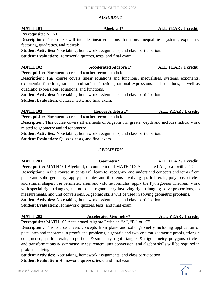#### *ALGEBRA 1*

**Prerequisite:** NONE

**Description:** This course will include linear equations, functions, inequalities, systems, exponents, factoring, quadratics, and radicals.

**Student Activities:** Note taking, homework assignments, and class participation.

**Student Evaluation:** Homework, quizzes, tests, and final exam.

### **MATH 102 Accelerated Algebra I\* ALL YEAR / 1 credit**

**Prerequisite:** Placement score and teacher recommendation.

**Description:** This course covers linear equations and functions, inequalities, systems, exponents, exponential functions, radicals and radical functions, rational expressions, and equations; as well as quadratic expressions, equations, and functions.

**Student Activities:** Note taking, homework assignments, and class participation.

**Student Evaluation:** Quizzes, tests, and final exam.

# **MATH 103 Honors Algebra I\* ALL YEAR / 1 credit**

**Prerequisite:** Placement score and teacher recommendation.

**Description:** This course covers all elements of Algebra I in greater depth and includes radical work related to geometry and trigonometry.

**Student Activities:** Note taking, homework assignments, and class participation.

**Student Evaluation:** Quizzes, tests, and final exam.

#### *GEOMETRY*

**MATH 201 Geometry\* ALL YEAR / 1 credit Prerequisite:** MATH 101 Algebra I, or completion of MATH 102 Accelerated Algebra I with a "D". **Description:** In this course students will learn to: recognize and understand concepts and terms from plane and solid geometry; apply postulates and theorems involving quadrilaterals, polygons, circles, and similar shapes; use perimeter, area, and volume formulas; apply the Pythagorean Theorem, work with special right triangles, and od basic trigonometry involving right triangles; solve proportions, do measurements, and unit conversions. Algebraic skills will be used in solving geometric problems. **Student Activities:** Note taking, homework assignments, and class participation. **Student Evaluation:** Homework, quizzes, tests, and final exam.

### **MATH 202 Accelerated Geometry\* ALL YEAR / 1 credit**

**Prerequisite:** MATH 102 Accelerated Algebra I with an "A", "B", or "C".

**Description:** This course covers concepts from plane and solid geometry including application of postulates and theorems in proofs and problems, algebraic and two-column geometric proofs, triangle congruence, quadrilaterals, proportions & similarity, right triangles & trigonometry, polygons, circles, and transformations & symmetry. Measurement, unit conversion, and algebra skills will be required in problem solving.

**Student Activities:** Note taking, homework assignments, and class participation. **Student Evaluation:** Homework, quizzes, tests, and final exam.



**MATH 101 Algebra I\* ALL YEAR / 1 credit**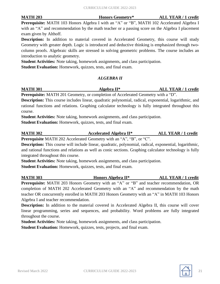**MATH 203 Honors Geometry\* ALL YEAR / 1 credit**

**Prerequisite:** MATH 103 Honors Algebra I with an "A" or "B", MATH 102 Accelerated Algebra I with an "A" and recommendation by the math teacher or a passing score on the Algebra I placement exam given by Althoff.

**Description:** In addition to material covered in Accelerated Geometry, this course will study Geometry with greater depth. Logic is introduced and deductive thinking is emphasized through twocolumn proofs. Algebraic skills are stressed in solving geometric problems. The course includes an introduction to analytic geometry.

**Student Activities:** Note taking, homework assignments, and class participation.

**Student Evaluation:** Homework, quizzes, tests, and final exam.

#### *ALGEBRA II*

**MATH 301 Algebra II\* ALL YEAR / 1 credit**

**Prerequisite:** MATH 201 Geometry, or completion of Accelerated Geometry with a "D".

**Description:** This course includes linear, quadratic polynomial, radical, exponential, logarithmic, and rational functions and relations. Graphing calculator technology is fully integrated throughout this course.

**Student Activities:** Note taking, homework assignments, and class participation.

**Student Evaluation:** Homework, quizzes, tests, and final exam.

**MATH 302 Accelerated Algebra II\* ALL YEAR / 1 credit**

**Prerequisite** MATH 202 Accelerated Geometry with an "A", "B", or "C".

**Description:** This course will include linear, quadratic, polynomial, radical, exponential, logarithmic, and rational functions and relations as well as conic sections. Graphing calculator technology is fully integrated throughout this course.

**Student Activities:** Note taking, homework assignments, and class participation. **Student Evaluation:** Homework, quizzes, tests, and final exam.

**MATH 303 Honors Algebra II\* ALL YEAR / 1 credit Prerequisite:** MATH 203 Honors Geometry with an "A" or "B" and teacher recommendation, OR completion of MATH 202 Accelerated Geometry with an "A" and recommendation by the math teacher OR concurrently enrolled in MATH 203 Honors Geometry with an "A" in MATH 103 Honors Algebra I and teacher recommendation.

**Description:** In addition to the material covered in Accelerated Algebra II, this course will cover linear programming, series and sequences, and probability. Word problems are fully integrated throughout the course.

**Student Activities:** Note taking, homework assignments, and class participation.

**Student Evaluation:** Homework, quizzes, tests, projects, and final exam.

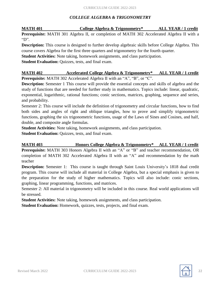#### *COLLEGE ALGEBRA & TRIGONOMETRY*

**MATH 401 College Algebra & Trigonometry\* ALL YEAR / 1 credit Prerequisite:** MATH 301 Algebra II, or completion of MATH 302 Accelerated Algebra II with a "D".

**Description:** This course is designed to further develop algebraic skills before College Algebra. This course covers Algebra for the first three quarters and trigonometry for the fourth quarter.

**Student Activities:** Note taking, homework assignments, and class participation.

**Student Evaluation:** Quizzes, tests, and final exam.

# **MATH 402 Accelerated College Algebra & Trigonometry\* ALL YEAR / 1 credit**

**Prerequisite:** MATH 302 Accelerated Algebra II with an "A", "B", or "C".

**Description:** Semester 1 This course will provide the essential concepts and skills of algebra and the study of functions that are needed for further study in mathematics. Topics include: linear, quadratic, exponential, logarithmic, rational functions; conic sections, matrices, graphing, sequence and series, and probability.

Semester 2: This course will include the definition of trigonometry and circular functions, how to find both sides and angles of right and oblique triangles, how to prove and simplify trigonometric functions, graphing the six trigonometric functions, usage of the Laws of Sines and Cosines, and half, double, and composite angle formulas.

**Student Activities:** Note taking, homework assignments, and class participation.

**Student Evaluation:** Quizzes, tests, and final exam.

**MATH 403 Honors College Algebra & Trigonometry\* ALL YEAR / 1 credit Prerequisite:** MATH 303 Honors Algebra II with an "A" or "B" and teacher recommendation, OR completion of MATH 302 Accelerated Algebra II with an "A" and recommendation by the math teacher

**Description:** Semester 1: This course is taught through Saint Louis University's 1818 dual credit program. This course will include all material in College Algebra, but a special emphasis is given to the preparation for the study of higher mathematics. Topics will also include: conic sections, graphing, linear programming, functions, and matrices.

Semester 2: All material in trigonometry will be included in this course. Real world applications will be stressed.

**Student Activities:** Note taking, homework assignments, and class participation. **Student Evaluation:** Homework, quizzes, tests, projects, and final exam.

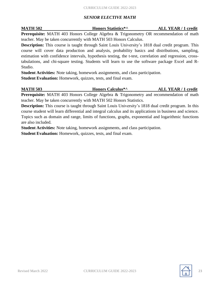#### *SENIOR ELECTIVE MATH*

**MATH 502 Honors Statistics\*^ ALL YEAR / 1 credit**

**Prerequisite:** MATH 403 Honors College Algebra & Trigonometry OR recommendation of math teacher. May be taken concurrently with MATH 503 Honors Calculus.

**Description:** This course is taught through Saint Louis University's 1818 dual credit program. This course will cover data production and analysis, probability basics and distributions, sampling, estimation with confidence intervals, hypothesis testing, the t-test, correlation and regression, crosstabulations, and chi-square testing. Students will learn to use the software package Excel and R-Studio.

**Student Activities:** Note taking, homework assignments, and class participation.

**Student Evaluation:** Homework, quizzes, tests, and final exam.

**MATH 503 Honors Calculus\*^ ALL YEAR / 1 credit Prerequisite:** MATH 403 Honors College Algebra & Trigonometry and recommendation of math teacher. May be taken concurrently with MATH 502 Honors Statistics.

**Description:** This course is taught through Saint Louis University's 1818 dual credit program. In this course student will learn differential and integral calculus and its applications in business and science. Topics such as domain and range, limits of functions, graphs, exponential and logarithmic functions are also included.

**Student Activities:** Note taking, homework assignments, and class participation.

**Student Evaluation:** Homework, quizzes, tests, and final exam.

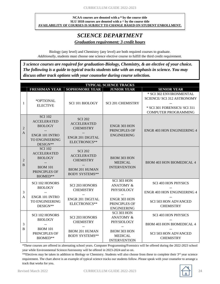#### **NCAA courses are denoted with a \* by the course title SLU 1818 courses are denoted with a ^ by the course title AVAILABILITY OF COURSES IS SUBJECT TO CHANGE BASED ON STUDENT ENROLLMENT.**

### *SCIENCE DEPARTMENT Graduation requirement: 3 credit hours*

Biology (any level) and Chemistry (any level) are both required courses to graduate. *Additionally*, students must choose one science elective course to fulfill the third credit requirement.

*3 science courses are required for graduation-Biology, Chemistry, & an elective of your choice. The following is a guide to typical tracks students take with an emphasis in science. You may discuss other track options with your counselor during course selection.*

|                     | <b>TYPICAL SCIENCE TRACKS</b>                                                                          |                                                                                                            |                                                                                 |                                                                                                                      |
|---------------------|--------------------------------------------------------------------------------------------------------|------------------------------------------------------------------------------------------------------------|---------------------------------------------------------------------------------|----------------------------------------------------------------------------------------------------------------------|
|                     | <b>FRESHMAN YEAR</b>                                                                                   | <b>SOPHOMORE YEAR</b>                                                                                      | <b>JUNIOR YEAR</b>                                                              | <b>SENIOR YEAR</b>                                                                                                   |
| 1                   | *OPTIONAL<br><b>ELECTIVE</b>                                                                           | <b>SCI 101 BIOLOGY</b>                                                                                     | <b>SCI 201 CHEMISTRY</b>                                                        | * SCI 302 ENVIRONMENTAL<br>SCIENCE/ SCI 312 ASTRONOMY<br>* SCI 301 FORENSICS/ SCI 311<br><b>COMPUTER PROGRAMMING</b> |
| $\sqrt{2}$<br>A     | <b>SCI 102</b><br><b>ACCELERATED</b><br><b>BIOLOGY</b><br>ENGR 101 INTRO<br>TO ENGINEERING<br>DESIGN** | <b>SCI 202</b><br><b>ACCELERATED</b><br><b>CHEMISTRY</b><br><b>ENGR 201 DIGITAL</b><br>ELECTRONICS**       | ENGR 303 HON<br>PRINCIPLES OF<br><b>ENGINEERING</b>                             | <b>ENGR 403 HON ENGINEERING 4</b>                                                                                    |
| $\overline{2}$<br>B | <b>SCI 102</b><br><b>ACCELERATED</b><br><b>BIOLOGY</b><br><b>BIOM 101</b><br>PRINCIPLES OF<br>BIOMED** | <b>SCI 202</b><br><b>ACCELERATED</b><br><b>CHEMISTRY</b><br><b>BIOM 201 HUMAN</b><br><b>BODY SYSTEMS**</b> | <b>BIOM 303 HON</b><br><b>MEDICAL</b><br><b>INTERVENTION</b>                    | <b>BIOM 403 HON BIOMEDICAL 4</b>                                                                                     |
| 3                   | <b>SCI 102 HONORS</b><br><b>BIOLOGY</b>                                                                | <b>SCI 203 HONORS</b><br><b>CHEMISTRY</b>                                                                  | SCI 303 HON<br><b>ANATOMY &amp;</b><br>PHYSIOLOGY                               | <b>SCI 403 HON PHYSICS</b><br>ENGR 403 HON ENGINEERING 4                                                             |
| A                   | ENGR 101 INTRO<br>TO ENGINEERING<br>DESIGN**                                                           | <b>ENGR 201 DIGITAL</b><br>ELECTRONICS**                                                                   | ENGR 303 HON<br>PRINCIPLES OF<br><b>ENGINEERING</b>                             | <b>SCI 503 HON ADVANCED</b><br><b>CHEMISTRY</b>                                                                      |
| 3<br>B              | <b>SCI 102 HONORS</b><br><b>BIOLOGY</b><br><b>BIOM 101</b><br>PRINCIPLES OF                            | <b>SCI 203 HONORS</b><br><b>CHEMISTRY</b><br><b>BIOM 201 HUMAN</b><br><b>BODY SYSTEMS**</b>                | SCI 303 HON<br>ANATOMY &<br>PHYSIOLOGY<br><b>BIOM 303 HON</b><br><b>MEDICAL</b> | <b>SCI 403 HON PHYSICS</b><br>BIOM 403 HON BIOMEDICAL 4<br><b>SCI 503 HON ADVANCED</b>                               |
|                     | BIOMED**                                                                                               |                                                                                                            | <b>INTERVENTION</b>                                                             | <b>CHEMISTRY</b>                                                                                                     |

\*These courses are offered in alternating school years. Computer Programming/Forensics will be offered during the 2022-2023 school year while Environmental Science/Astronomy will be offered in 2023-2024 and so on.

\*\*Electives may be taken in addition to Biology or Chemistry. Students will also choose from these to complete their 3<sup>rd</sup> year science requirement. The chart above is an example of typical science tracks our students follow. Please speak with your counselor to arrange a track that works for you.

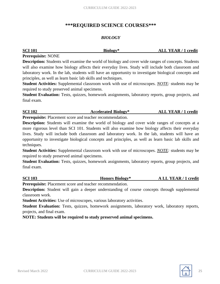### **\*\*\*REQUIRED SCIENCE COURSES\*\*\***

#### *BIOLOGY*

| <b>SCI 101</b> | Biology* | <b>ALL YEAR / 1 credit</b> |
|----------------|----------|----------------------------|
|                |          |                            |

#### **Prerequisite:** NONE

**Description:** Students will examine the world of biology and cover wide ranges of concepts. Students will also examine how biology affects their everyday lives. Study will include both classroom and laboratory work. In the lab, students will have an opportunity to investigate biological concepts and principles, as well as learn basic lab skills and techniques.

**Student Activities:** Supplemental classroom work with use of microscopes. *NOTE:* students may be required to study preserved animal specimens.

**Student Evaluation:** Tests, quizzes, homework assignments, laboratory reports, group projects, and final exam.

### **SCI 102 Accelerated Biology\* ALL YEAR / 1 credit**

**Prerequisite:** Placement score and teacher recommendation.

**Description:** Students will examine the world of biology and cover wide ranges of concepts at a more rigorous level than SCI 101. Students will also examine how biology affects their everyday lives. Study will include both classroom and laboratory work. In the lab, students will have an opportunity to investigate biological concepts and principles, as well as learn basic lab skills and techniques.

**Student Activities:** Supplemental classroom work with use of microscopes. *NOTE:* students may be required to study preserved animal specimens.

**Student Evaluation:** Tests, quizzes, homework assignments, laboratory reports, group projects, and final exam.

**SCI 103 Honors Biology\* A LL YEAR / 1 credit**

**Prerequisite:** Placement score and teacher recommendation.

**Description:** Student will gain a deeper understanding of course concepts through supplemental classroom work.

**Student Activities:** Use of microscopes, various laboratory activities.

**Student Evaluation:** Tests, quizzes, homework assignments, laboratory work, laboratory reports, projects, and final exam.

**NOTE: Students will be required to study preserved animal specimens.**

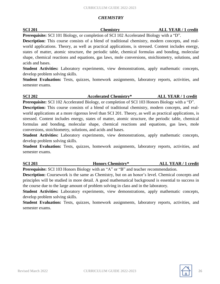#### *CHEMISTRY*

#### **SCI 201 Chemistry ALL YEAR / 1 credit**

**Prerequisite:** SCI 101 Biology, or completion of SCI 102 Accelerated Biology with a "D".

**Description:** This course consists of a blend of traditional chemistry, modern concepts, and realworld applications. Theory, as well as practical applications, is stressed. Content includes energy, states of matter, atomic structure, the periodic table, chemical formulas and bonding, molecular shape, chemical reactions and equations, gas laws, mole conversions, stoichiometry, solutions, and acids and bases.

**Student Activities:** Laboratory experiments, view demonstrations, apply mathematic concepts, develop problem solving skills.

**Student Evaluation:** Tests, quizzes, homework assignments, laboratory reports, activities, and semester exams.

**SCI 202 Accelerated Chemistry\* ALL YEAR / 1 credit**

**Prerequisite:** SCI 102 Accelerated Biology, or completion of SCI 103 Honors Biology with a "D". **Description:** This course consists of a blend of traditional chemistry, modern concepts, and realworld applications at a more rigorous level than SCI 201. Theory, as well as practical applications, is stressed. Content includes energy, states of matter, atomic structure, the periodic table, chemical formulas and bonding, molecular shape, chemical reactions and equations, gas laws, mole conversions, stoichiometry, solutions, and acids and bases.

**Student Activities:** Laboratory experiments, view demonstrations, apply mathematic concepts, develop problem solving skills.

**Student Evaluation:** Tests, quizzes, homework assignments, laboratory reports, activities, and semester exams.

**SCI 203 Honors Chemistry\* ALL YEAR / 1 credit**

**Prerequisite:** SCI 103 Honors Biology with an "A" or "B" and teacher recommendation.

**Description:** Coursework is the same as Chemistry, but on an honor's level. Chemical concepts and principles will be studied in more detail. A good mathematical background is essential to success in the course due to the large amount of problem solving in class and in the laboratory.

**Student Activities:** Laboratory experiments, view demonstrations, apply mathematic concepts, develop problem solving skills.

**Student Evaluation:** Tests, quizzes, homework assignments, laboratory reports, activities, and semester exams.

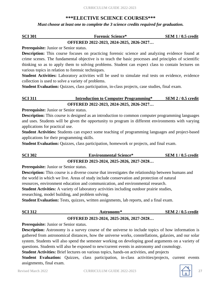### **\*\*\*ELECTIVE SCIENCE COURSES\*\*\***

*Must choose at least one to complete the 3 science credits required for graduation.*

| <b>SCI 301</b> | <b>Forensic Science*</b>                | $SEM 1 / 0.5$ credit |
|----------------|-----------------------------------------|----------------------|
|                | OFFERED 2022-2023, 2024-2025, 2026-2027 |                      |

**Prerequisite:** Junior or Senior status.

**Description:** This course focuses on practicing forensic science and analyzing evidence found at crime scenes. The fundamental objective is to teach the basic processes and principles of scientific thinking so as to apply them to solving problems. Student can expect class to contain lectures on various topics in relation to forensic techniques.

**Student Activities:** Laboratory activities will be used to simulate real tests on evidence, evidence collection is used to solve a variety of problems.

**Student Evaluation:** Quizzes, class participation, in-class projects, case studies, final exam.

#### **SCI 311 Introduction to Computer Programming\* SEM 2 / 0.5 credit OFFERED 2022-2023, 2024-2025, 2026-2027…**

**Prerequisite:** Junior or Senior status.

**Description:** This course is designed as an introduction to common computer programming languages and uses. Students will be given the opportunity to program in different environments with varying applications for practical use.

**Student Activities:** Students can expect some teaching of programming languages and project-based applications for their programming skills.

**Student Evaluation:** Quizzes, class participation, homework or projects, and final exam.

| <b>SCI 302</b> | <b>Environmental Science*</b>           | $SEM$ 1 / 0.5 credit |
|----------------|-----------------------------------------|----------------------|
|                | OFFERED 2023-2024, 2025-2026, 2027-2028 |                      |

**Prerequisite:** Junior or Senior status.

**Description:** This course is a diverse course that investigates the relationship between humans and the world in which we live. Areas of study include conservation and protection of natural

resources, environment education and communication, and environmental research.

**Student Activities:** A variety of laboratory activities including outdoor prairie studies,

researching, model building, and problem solving.

**Student Evaluation:** Tests, quizzes, written assignments, lab reports, and a final exam.

| <b>SCI 312</b> | Astronomy* | <b>SEM 2/0.5 credit</b> |
|----------------|------------|-------------------------|
|                |            |                         |

#### **OFFERED 2023-2024, 2025-2026, 2027-2028…**

**Prerequisite:** Junior or Senior status.

**Description:** Astronomy is a survey course of the universe to include topics of how information is gathered from astronomical distances, how the universe works, constellations, galaxies, and our solar system. Students will also spend the semester working on developing good arguments on a variety of questions. Students will also be exposed to new/current events in astronomy and cosmology.

**Student Activities:** Brief lectures on various topics, hands-on activities, and projects

**Student Evaluation:** Quizzes, class participation, in-class activities/projects, current events assignments, final exam.

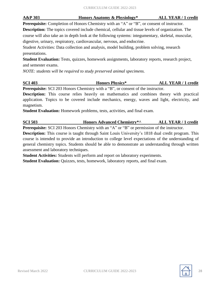# **A&P 303 Honors Anatomy & Physiology\* ALL YEAR / 1 credit**

**Prerequisite:** Completion of Honors Chemistry with an "A" or "B", or consent of instructor.

**Description:** The topics covered include chemical, cellular and tissue levels of organization. The course will also take an in depth look at the following systems: integumentary, skeletal, muscular, digestive, urinary, respiratory, cardiovascular, nervous, and endocrine.

Student Activities: Data collection and analysis, model building, problem solving, research presentations.

**Student Evaluation:** Tests, quizzes, homework assignments, laboratory reports, research project, and semester exams.

*NOTE: students will be required to study preserved animal specimens.*

**SCI 403 Honors Physics\* ALL YEAR / 1 credit Prerequisite:** SCI 203 Honors Chemistry with a "B", or consent of the instructor.

**Description:** This course relies heavily on mathematics and combines theory with practical application. Topics to be covered include mechanics, energy, waves and light, electricity, and magnetism.

**Student Evaluation:** Homework problems, tests, activities, and final exam.

**SCI 503 Honors Advanced Chemistry\*^ ALL YEAR / 1 credit**

**Prerequisite:** SCI 203 Honors Chemistry with an "A" or "B" or permission of the instructor. **Description:** This course is taught through Saint Louis University's 1818 dual credit program. This course is intended to provide an introduction to college level expectations of the understanding of general chemistry topics. Students should be able to demonstrate an understanding through written

assessment and laboratory techniques.

**Student Activities:** Students will perform and report on laboratory experiments. **Student Evaluation:** Quizzes, tests, homework, laboratory reports, and final exam.

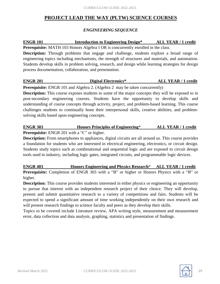### **PROJECT LEAD THE WAY (PLTW) SCIENCE COURSES**

#### *ENGINEERING SEQUENCE*

### **ENGR 101 Introduction to Engineering Design\* ALL YEAR / 1 credit**

**Prerequisite:** MATH 103 Honors Algebra I OR is concurrently enrolled in the class.

**Description:** Through problems that engage and challenge, students explore a broad range of engineering topics including mechanisms, the strength of structures and materials, and automation. Students develop skills in problem solving, research, and design while learning strategies for design process documentation, collaboration, and presentation.

### **ENGR 201 Digital Electronics\* ALL YEAR / 1 credit**

**Prerequisite:** ENGR 101 and Algebra 2. (Algebra 2 may be taken concurrently)

**Description:** This course exposes students to some of the major concepts they will be exposed to in post-secondary engineering courses. Students have the opportunity to develop skills and understanding of course concepts through activity, project, and problem-based learning. This course challenges students to continually hone their interpersonal skills, creative abilities, and problemsolving skills based upon engineering concepts.

**ENGR 303 Honors Principles of Engineering**\* **ALL YEAR / 1 credit Prerequisite:** ENGR 201 with a "C" or higher.

**Description:** From smartphones to appliances, digital circuits are all around us. This course provides a foundation for students who are interested in electrical engineering, electronics, or circuit design. Students study topics such as combinational and sequential logic and are exposed to circuit design tools used in industry, including logic gates, integrated circuits, and programmable logic devices.

**ENGR 403 Honors Engineering and Physics Research**\* **ALL YEAR / 1 credit Prerequisite:** Completion of ENGR 303 with a "B" or higher or Honors Physics with a "B" or higher.

**Description:** This course provides students interested in either physics or engineering an opportunity to pursue that interest with an independent research project of their choice. They will develop, present and submit quantitative research to a variety of competitions and fairs. Students will be expected to spend a significant amount of time working independently on their own research and will present research findings to science faculty and peers as they develop their skills.

Topics to be covered include Literature review, APA writing style, measurement and measurement error, data collection and data analysis, graphing, statistics and presentation of findings.

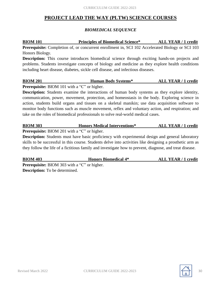### **PROJECT LEAD THE WAY (PLTW) SCIENCE COURSES**

#### *BIOMEDICAL SEQUENCE*

# **BIOM 101 Principles of Biomedical Science\* ALL YEAR / 1 credit**

**Prerequisite:** Completion of, or concurrent enrollment in, SCI 102 Accelerated Biology or SCI 103 Honors Biology.

**Description:** This course introduces biomedical science through exciting hands-on projects and problems. Students investigate concepts of biology and medicine as they explore health conditions including heart disease, diabetes, sickle cell disease, and infectious diseases.

# **BIOM 201 Human Body Systems\* ALL YEAR / 1 credit**

**Prerequisite:** BIOM 101 with a "C" or higher.

**Description:** Students examine the interactions of human body systems as they explore identity, communication, power, movement, protection, and homeostasis in the body. Exploring science in action, students build organs and tissues on a skeletal manikin; use data acquisition software to monitor body functions such as muscle movement, reflex and voluntary action, and respiration; and take on the roles of biomedical professionals to solve real-world medical cases.

**BIOM 303 Honors Medical Interventions\* ALL YEAR / 1 credit**

Prerequisite: BIOM 201 with a "C" or higher.

**Description:** Students must have basic proficiency with experimental design and general laboratory skills to be successful in this course. Students delve into activities like designing a prosthetic arm as they follow the life of a fictitious family and investigate how to prevent, diagnose, and treat disease.

**BIOM 403 Honors Biomedical 4\* ALL YEAR / 1 credit Prerequisite:** BIOM 303 with a "C" or higher. **Description:** To be determined.

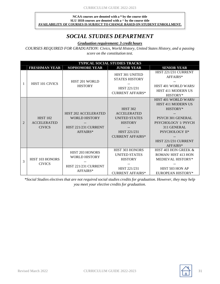#### **NCAA courses are denoted with a \* by the course title SLU 1818 courses are denoted with a ^ by the course title AVAILABILITY OF COURSES IS SUBJECT TO CHANGE BASED ON STUDENT ENROLLMENT.**

## *SOCIAL STUDIES DEPARTMENT*

*Graduation requirement: 3 credit hours*

*COURSES REQUIRED FOR GRADUATION: Civics, World History, United States History, and a passing score on the constitution test.*

|                | <b>TYPICAL SOCIAL STUDIES TRACKS</b>                   |                                                                                         |                                                                                                                            |                                                                                                                                                                                              |  |
|----------------|--------------------------------------------------------|-----------------------------------------------------------------------------------------|----------------------------------------------------------------------------------------------------------------------------|----------------------------------------------------------------------------------------------------------------------------------------------------------------------------------------------|--|
|                | <b>FRESHMAN YEAR</b>                                   | <b>SOPHOMORE YEAR</b>                                                                   | <b>JUNIOR YEAR</b>                                                                                                         | <b>SENIOR YEAR</b>                                                                                                                                                                           |  |
| 1              | HIST 101 CIVICS                                        | HIST 201 WORLD<br><b>HISTORY</b>                                                        | HIST 301 UNITED<br><b>STATES HISTORY</b><br>HIST 221/231<br><b>CURRENT AFFAIRS*</b>                                        | HIST 221/231 CURRENT<br>AFFAIRS*<br><b>HIST 401 WORLD WARS/</b><br>HIST 411 MODERN US<br>HISTORY*                                                                                            |  |
| $\overline{2}$ | <b>HIST 102</b><br><b>ACCELERATED</b><br><b>CIVICS</b> | <b>HIST 202 ACCELERATED</b><br><b>WORLD HISTORY</b><br>HIST 221/231 CURRENT<br>AFFAIRS* | <b>HIST 302</b><br><b>ACCELERATED</b><br><b>UNITED STATES</b><br><b>HISTORY</b><br>HIST 221/231<br><b>CURRENT AFFAIRS*</b> | HIST 401 WORLD WARS/<br><b>HIST 411 MODERN US</b><br>HISTORY*<br><b>PSYCH 301 GENERAL</b><br><b>PSYCHOLOGY 1/ PSYCH</b><br>311 GENERAL<br>PSYCHOLOGY II*<br>HIST 221/231 CURRENT<br>AFFAIRS* |  |
| 3              | HIST 103 HONORS<br><b>CIVICS</b>                       | <b>HIST 203 HONORS</b><br><b>WORLD HISTORY</b><br>HIST 221/231 CURRENT<br>AFFAIRS*      | HIST 303 HONORS<br><b>UNITED STATES</b><br><b>HISTORY</b><br>HIST 221/231<br><b>CURRENT AFFAIRS*</b>                       | HIST 403 HON GREEK &<br>ROMAN/HIST 413 HON<br>MEDIEVAL HISTORY*<br>HIST 503 HON AP<br>EUROPEAN HISTORY*                                                                                      |  |

*\*Social Studies electives that are not required social studies credits for graduation. However, they may help you meet your elective credits for graduation.*

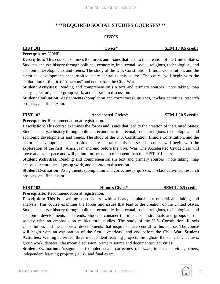### **\*\*\*REQUIRED SOCIAL STUDIES COURSES\*\*\***

#### *CIVICS*

| <b>HIST 101</b> | Civics* | <b>SEM 1/0.5 credit</b> |
|-----------------|---------|-------------------------|
|                 |         |                         |

#### **Prerequisite:** NONE

**Description:** This course examines the forces and issues that lead to the creation of the United States. Students analyze history through political, economic, intellectual, social, religious, technological, and economic developments and trends. The study of the U.S. Constitution, Illinois Constitution, and the historical developments that inspired it are central to this course. The course will begin with the exploration of the first "Americas" and end before the Civil War.

**Student Activities:** Reading and comprehension (in text and primary sources), note taking, map analysis, lecture, small group work, and classroom discussion.

**Student Evaluation:** Assignments (completion and correctness), quizzes, in-class activities, research projects, and final exam.

| <b>HIST 102</b> | <b>Accelerated Civics*</b> | <b>SEM 1/0.5 credit</b> |
|-----------------|----------------------------|-------------------------|
|                 |                            |                         |

**Prerequisite:** Recommendation at registration.

**Description:** This course examines the forces and issues that lead to the creation of the United States. Students analyze history through political, economic, intellectual, social, religious, technological, and economic developments and trends. The study of the U.S. Constitution, Illinois Constitution, and the historical developments that inspired it are central to this course. The course will begin with the exploration of the first "Americas" and end before the Civil War. The Accelerated Civics class will move at a faster pace and will go into further depth of content than the HIST 101 class.

**Student Activities:** Reading and comprehension (in text and primary sources), note taking, map analysis, lecture, small group work, and classroom discussion.

**Student Evaluation:** Assignments (completion and correctness), quizzes, in-class activities, research projects, and final exam.

### **HIST 103 Honors Civics\* SEM 1 / 0.5 credit**

**Prerequisite:** Recommendation at registration.

**Description:** This is a writing-based course with a heavy emphasis put on critical thinking and analysis. This course examines the forces and issues that lead to the creation of the United States. Students analyze history through political, economic, intellectual, social, religious, technological, and economic developments and trends. Students consider the impact of individuals and groups on our society with an emphasis on multicultural studies. The study of the U.S. Constitution, Illinois Constitution, and the historical developments that inspired it are central to this course. The course will begin with an exploration of the first "Americas" and end before the Civil War. **Student Activities:** Writing activities, three independent learning projects throughout the semester, lectures, group work, debates, classroom discussion, primary source and documentary activities

**Student Evaluation:** Assignments (completion and correctness), quizzes, in-class activities, papers, independent learning projects (ILPs), and final exam.

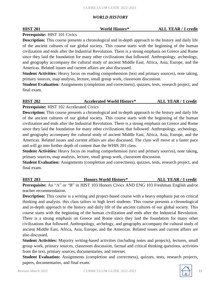#### *WORLD HISTORY*

**Prerequisite:** HIST 101 Civics

**Description:** This course presents a chronological and in-depth approach to the history and daily life of the ancient cultures of our global society. This course starts with the beginning of the human civilization and ends after the Industrial Revolution. There is a strong emphasis on Greece and Rome since they laid the foundation for many other civilizations that followed. Anthropology, archeology, and geography accompany the cultural study of ancient Middle East, Africa, Asia, Europe, and the Americas. Related issues and current affairs are also discussed.

**Student Activities:** Heavy focus on reading comprehension (text and primary sources), note taking, primary sources, map analysis, lecture, small group work, classroom discussion.

**Student Evaluation:** Assignments (completion and correctness), quizzes, tests, research project, and final exam.

### **HIST 202 Accelerated World History\* ALL YEAR / 1 credit**

**Prerequisite:** HIST 102 Accelerated Civics

**Description:** This course presents a chronological and in-depth approach to the history and daily life of the ancient cultures of our global society. This course starts with the beginning of the human civilization and ends after the Industrial Revolution. There is a strong emphasis on Greece and Rome since they laid the foundation for many other civilizations that followed. Anthropology, archeology, and geography accompany the cultural study of ancient Middle East, Africa, Asia, Europe, and the Americas. Related issues and current affairs are also discussed. The class will move at a faster pace and will go into further depth of content than the WHIS 201 class.

**Student Activities:** Heavy focus on reading comprehension (text and primary sources), note taking, primary sources, map analysis, lecture, small group work, classroom discussion.

**Student Evaluation:** Assignments (completion and correctness), quizzes, tests, research project, and final exam.

**HIST 203 Honors World History\* ALL YEAR / 1 credit Prerequisite:** An "A" or "B" in HIST 103 Honors Civics AND ENG 103 Freshman English and/or teacher recommendation.

**Description:** This course is a writing and project-based course with a heavy emphasis put on critical thinking and analysis. this class tailors to high level students. This course presents a chronological and in-depth approach to the history and daily life of the ancient cultures of our global society. This course starts with the beginning of the human civilization and ends after the Industrial Revolution. There is a strong emphasis on Greece and Rome since they laid the foundation for many other civilizations that followed. Anthropology, archelogy, and geography accompany the cultural study of ancient Middle East, Africa, Asia, Europe, and the Americas. Related issues and current affairs are also discussed.

**Student Activities:** Majority writing-based activities (including notes and projects), lectures, small group work, primary sources, classroom discussion, factual and critical thinking questions, activities from the text, primary sources, documentaries, and internet.

**Student Evaluation:** Assignments (completion and correctness), quizzes, tests, research projects, papers, documentaries, and final exam.

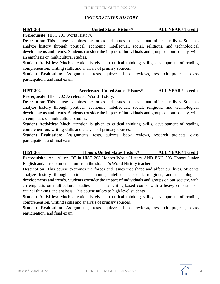#### *UNITED STATES HISTORY*

#### **HIST 301 United States History\* ALL YEAR / 1 credit**

#### **Prerequisite:** HIST 201 World History.

**Description:** This course examines the forces and issues that shape and affect our lives. Students analyze history through political, economic, intellectual, social, religious, and technological developments and trends. Students consider the impact of individuals and groups on our society, with an emphasis on multicultural studies.

**Student Activities:** Much attention is given to critical thinking skills, development of reading comprehension, writing skills and analysis of primary sources.

**Student Evaluation:** Assignments, tests, quizzes, book reviews, research projects, class participation, and final exam.

### **HIST 302 Accelerated United States History\* ALL YEAR / 1 credit Prerequisite:** HIST 202 Accelerated World History.

**Description:** This course examines the forces and issues that shape and affect our lives. Students analyze history through political, economic, intellectual, social, religious, and technological developments and trends. Students consider the impact of individuals and groups on our society, with an emphasis on multicultural studies.

**Student Activities:** Much attention is given to critical thinking skills, development of reading comprehension, writing skills and analysis of primary sources.

**Student Evaluation:** Assignments, tests, quizzes, book reviews, research projects, class participation, and final exam.

# **HIST 303 Honors United States History\* ALL YEAR / 1 credit**

**Prerequisite:** An "A" or "B" in HIST 203 Honors World History AND ENG 203 Honors Junior English and/or recommendation from the student's World History teacher.

**Description:** This course examines the forces and issues that shape and affect our lives. Students analyze history through political, economic, intellectual, social, religious, and technological developments and trends. Students consider the impact of individuals and groups on our society, with an emphasis on multicultural studies. This is a writing-based course with a heavy emphasis on critical thinking and analysis. This course tailors to high level students.

**Student Activities:** Much attention is given to critical thinking skills, development of reading comprehension, writing skills and analysis of primary sources.

**Student Evaluation:** Assignments, tests, quizzes, book reviews, research projects, class participation, and final exam.

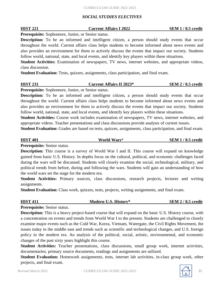#### *SOCIAL STUDIES ELECTIVES*

### **Prerequisite:** Sophomore, Junior, or Senior status.

**Description:** To be an informed and intelligent citizen, a person should study events that occur throughout the world. Current affairs class helps students to become informed about news events and also provides an environment for them to actively discuss the events that impact our society. Students follow world, national, state, and local events, and identify key players within these situations.

**Student Activities:** Examination of newspapers, TV news, internet websites, and appropriate videos, class discussion.

**Student Evaluation:** Tests, quizzes, assignments, class participation, and final exam.

#### **HIST 231 Current Affairs II 2023\* SEM 2 / 0.5 credit**

**Prerequisite:** Sophomore, Junior, or Senior status.

**Description:** To be an informed and intelligent citizen, a person should study events that occur throughout the world. Current affairs class helps students to become informed about news events and also provides an environment for them to actively discuss the events that impact our society. Students follow world, national, state, and local events, and identify key players within these situations.

**Student Activities:** Course work includes examination of newspapers, TV news, internet websites, and appropriate videos. Teacher presentations and class discussions provide analysis of current issues.

**Student Evaluation:** Grades are based on tests, quizzes, assignments, class participation, and final exam.

**HIST 401 World Wars**\* **SEM 1 / 0.5 credit Prerequisite:** Senior status.

**Description:** This course is a survey of World War I and II. This course will expand on knowledge gained from basic U.S. History. In depths focus on the cultural, political, and economic challenges faced during the wars will be discussed. Students will closely examine the social, technological, military, and political trends from before, during and following the wars. Students will gain an understanding of how the world wars set the stage for the modern era.

**Student Activities:** Primary sources, class discussions, research projects, lectures and writing assignments.

**Student Evaluation:** Class work, quizzes, tests, projects, writing assignments, and final exam.

# **HIST 411 Modern U.S. History\* SEM 2 / 0.5 credit**

**Prerequisite:** Senior status.

**Description:** This is a heavy project-based course that will expand on the basic U.S. History course, with a concentration on events and trends from World War I to the present. Students are challenged to closely examine major events such as the Cold War, Korea, Vietnam, Watergate, the Civil Rights Movement, the issues today in the middle east and trends such as scientific and technological changes, and U.S. foreign policy in the modern era. An analysis of the political, social, artistic, environmental, and economic changes of the past sixty years highlight this course.

**Student Activities:** Teacher presentations, class discussions, small group work, internet activities, documentaries, primary source documents, readings and assignments are utilized.

**Student Evaluation:** Homework assignments, tests, internet lab activities, in-class group work, other projects, and final exam.



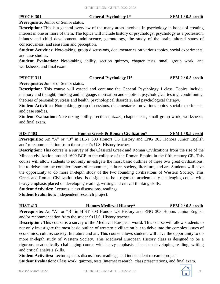#### **Prerequisite:** Junior or Senior status.

**Description:** This is a general overview of the many areas involved in psychology in hopes of creating interest in one or more of them. The topics will include history of psychology, psychology as a profession, infancy and child development, adolescence, gerontology, the study of the brain, altered states of consciousness, and sensation and perception.

**Student Activities:** Note-taking, group discussions, documentaries on various topics, social experiments, and case studies.

**Student Evaluation:** Note-taking ability, section quizzes, chapter tests, small group work, and worksheets, and final exam.

| <b>PSYCH 311</b> | <b>General Psychology II*</b> | <b>SEM 2/0.5 credit</b> |
|------------------|-------------------------------|-------------------------|
|                  |                               |                         |

**Prerequisite:** Junior or Senior status.

**Description:** This course will extend and continue the General Psychology I class. Topics include: memory and thought, thinking and language, motivation and emotion, psychological testing, conditioning, theories of personality, stress and health, psychological disorders, and psychological therapy.

**Student Activities:** Note-taking, group discussions, documentaries on various topics, social experiments, and case studies.

**Student Evaluation:** Note-taking ability, section quizzes, chapter tests, small group work, worksheets, and final exam.

**HIST 403 Honors Greek & Roman Civilization\* SEM 1 / 0.5 credit Prerequisite:** An "A" or "B" in HIST 303 Honors US History and ENG 303 Honors Junior English and/or recommendation from the student's U.S. History teacher.

**Description:** This course is a survey of the Classical Greek and Roman Civilizations from the rise of the Minoan civilization around 1600 BCE to the collapse of the Roman Empire in the fifth century CE. This course will allow students to not only investigate the most basic outlines of these two great civilizations, but to delve into the complex issues of economics, culture, society, literature, and art. Students will have the opportunity to do more in-depth study of the two founding civilizations of Western Society. This Greek and Roman Civilization class is designed to be a rigorous, academically challenging course with heavy emphasis placed on developing reading, writing and critical thinking skills.

**Student Activities:** Lectures, class discussions, readings.

**Student Evaluation:** Independent research project.

| <b>HIST 413</b> | <b>Honors Medieval History*</b>                                                                    | <b>SEM 2/0.5 credit</b> |
|-----------------|----------------------------------------------------------------------------------------------------|-------------------------|
|                 | <b>Prerequisite:</b> An "A" or "B" in HIST 303 Honors US History and ENG 303 Honors Junior English |                         |

and/or recommendation from the student's U.S. History teacher.

**Description:** This course is a survey of the Medieval European world. This course will allow students to not only investigate the most basic outline of western civilization but to delve into the complex issues of economics, culture, society, literature and art. This course allows students will have the opportunity to do more in-depth study of Western Society. This Medieval European History class is designed to be a rigorous, academically challenging course with heavy emphasis placed on developing reading, writing and critical analysis skills.

**Student Activities:** Lectures, class discussions, readings, and independent research project. **Student Evaluation:** Class work, quizzes, tests, Internet research, class presentations, and final exam.

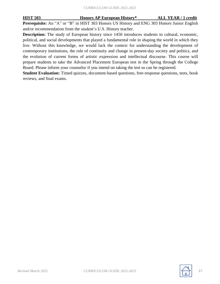**HIST 503 Honors AP European History\* ALL YEAR / 1 credit**

**Prerequisite:** An "A" or "B" in HIST 303 Honors US History and ENG 303 Honors Junior English and/or recommendation from the student's U.S. History teacher.

**Description:** The study of European history since 1450 introduces students to cultural, economic, political, and social developments that played a fundamental role in shaping the world in which they live. Without this knowledge, we would lack the context for understanding the development of contemporary institutions, the role of continuity and change in present-day society and politics, and the evolution of current forms of artistic expression and intellectual discourse. This course will prepare students to take the Advanced Placement European test in the Spring through the College Board. Please inform your counselor if you intend on taking the test so can be registered.

**Student Evaluation:** Timed quizzes, document-based questions, free-response questions, tests, book reviews, and final exams.

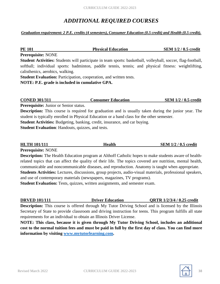# *ADDITIONAL REQUIRED COURSES*

#### *Graduation requirement: 2 P.E. credits (4 semesters), Consumer Education (0.5 credit) and Health (0.5 credit).*

#### **PE 101 Physical Education SEM 1/2 / 0.5 credit**

**Prerequisite:** NONE

**Student Activities:** Students will participate in team sports: basketball, volleyball, soccer, flag-football, softball; individual sports: badminton, paddle tennis, tennis; and physical fitness: weightlifting, calisthenics, aerobics, walking.

**Student Evaluation:** Participation, cooperation, and written tests.

**NOTE: P.E. grade is included in cumulative GPA.**

#### **CONED 301/311 Consumer Education SEM 1/2 / 0.5 credit**

**Prerequisite:** Junior or Senior status.

**Description:** This course is required for graduation and is usually taken during the junior year. The student is typically enrolled in Physical Education or a band class for the other semester.

**Student Activities:** Budgeting, banking, credit, insurance, and car buying.

**Student Evaluation**: Handouts, quizzes, and tests.

# **HLTH 101/111 Health SEM 1/2 / 0.5 credit**

**Prerequisite:** NONE

**Description:** The Health Education program at Althoff Catholic hopes to make students aware of healthrelated topics that can affect the quality of their life. The topics covered are nutrition, mental health, communicable and noncommunicable diseases, and reproduction. Anatomy is taught when appropriate. **Students Activities:** Lectures, discussions, group projects, audio-visual materials, professional speakers, and use of contemporary materials (newspapers, magazines, TV programs).

**Student Evaluation:** Tests, quizzes, written assignments, and semester exam.

**DRVED 101/111 Driver Education QRTR 1/2/3/4 / 0.25 credit**

**Description:** This course is offered through My Tutor Driving School and is licensed by the Illinois Secretary of State to provide classroom and driving instruction for teens. This program fulfills all state requirements for an individual to obtain an Illinois Driver License.

**NOTE: This class, because it is given through My Tutor Driving School, includes an additional** cost to the normal tuition fees and must be paid in full by the first day of class. You can find more **information by visiting www.mytutorlearning.com.**

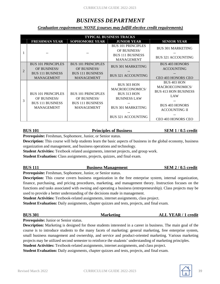# *BUSINESS DEPARTMENT*

*Graduation requirement: NONE (courses may fulfill elective credit requirements)*

|   | <b>TYPICAL BUSINESS TRACKS</b>                                                            |                                                                                           |                                                                                                                                                    |                                                                                                                                                           |  |  |
|---|-------------------------------------------------------------------------------------------|-------------------------------------------------------------------------------------------|----------------------------------------------------------------------------------------------------------------------------------------------------|-----------------------------------------------------------------------------------------------------------------------------------------------------------|--|--|
|   | <b>FRESHMAN YEAR</b>                                                                      | <b>SOPHOMORE YEAR</b>                                                                     | <b>JUNIOR YEAR</b>                                                                                                                                 | <b>SENIOR YEAR</b>                                                                                                                                        |  |  |
|   |                                                                                           |                                                                                           | <b>BUS 101 PRINCIPLES</b><br>OF BUSINESS/<br><b>BUS 111 BUSINESS</b><br><b>MANAGEMENT</b>                                                          | <b>BUS 301 MARKETING</b><br><b>BUS 321 ACCOUNTING</b>                                                                                                     |  |  |
| 2 | <b>BUS 101 PRINCIPLES</b><br>OF BUSINESS/<br><b>BUS 111 BUSINESS</b><br><b>MANAGEMENT</b> | <b>BUS 101 PRINCIPLES</b><br>OF BUSINESS/<br><b>BUS 111 BUSINESS</b><br><b>MANAGEMENT</b> | <b>BUS 301 MARKETING</b><br><b>BUS 321 ACCOUNTING</b>                                                                                              | <b>BUS 403 HONORS</b><br><b>ACCOUNTING</b><br><b>CEO 403 HONORS CEO</b>                                                                                   |  |  |
| 3 | <b>BUS 101 PRINCIPLES</b><br>OF BUSINESS/<br><b>BUS 111 BUSINESS</b><br><b>MANAGEMENT</b> | <b>BUS 101 PRINCIPLES</b><br>OF BUSINESS/<br><b>BUS 111 BUSINESS</b><br><b>MANAGEMENT</b> | <b>BUS 303 HON</b><br><b>MACROECONOMICS/</b><br><b>BUS 313 HON</b><br><b>BUSINESS LAW</b><br><b>BUS 301 MARKETING</b><br><b>BUS 321 ACCOUNTING</b> | BUS 403 HON<br><b>MACROECONOMICS/</b><br><b>BUS 413 HON BUSINESS</b><br>LAW<br><b>BUS 403 HONORS</b><br><b>ACCOUNTING II</b><br><b>CEO 403 HONORS CEO</b> |  |  |

#### **BUS 101 Principles of Business SEM 1 / 0.5 credit**

**Prerequisite:** Freshman, Sophomore, Junior, or Senior status.

**Description:** This course will help students learn the basic aspects of business in the global economy, business organization and management, and business operations and technology.

**Student Activities:** Textbook related assignments, internet projects, and group work.

**Student Evaluation:** Class assignments, projects, quizzes, and final exam.

| <b>BUS 111</b><br><b>Business Management</b> | <b>SEM 2/0.5 credit</b> |
|----------------------------------------------|-------------------------|
|----------------------------------------------|-------------------------|

**Prerequisite:** Freshman, Sophomore, Junior, or Senior status.

**Description:** This course covers business organization in the free enterprise system, internal organization, finance, purchasing, and pricing procedures, marketing, and management theory. Instruction focuses on the functions and tasks associated with owning and operating a business (entrepreneurship). Class projects may be used to provide a better understanding of the decisions made in management.

**Student Activities:** Textbook-related assignments, internet assignments, class project.

**Student Evaluation:** Daily assignments, chapter quizzes and tests, projects, and final exam.

| <b>BUS 301</b> | <b>Marketing</b> | <b>ALL YEAR / 1 credit</b> |
|----------------|------------------|----------------------------|
|                |                  |                            |

**Prerequisite:** Junior or Senior status.

**Description:** Marketing is designed for those students interested in a career in business. The main goal of the course is to introduce students to the many facets of marketing: general marketing, free enterprise system, small business management and ownership, and service and product-oriented marketing. Various marketing projects may be utilized second semester to reinforce the students' understanding of marketing principles.

**Student Activities:** Textbook-related assignments, internet assignments, and class project.

**Student Evaluation:** Daily assignments, chapter quizzes and tests, projects, and final exam.

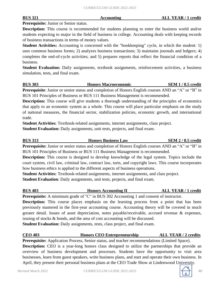#### **Prerequisite:** Junior or Senior status.

**Description:** This course is recommended for students planning to enter the business world and/or students expecting to major in the field of business in college. Accounting deals with keeping records of business transactions in terms of money values.

**Student Activities:** Accounting is concerned with the "bookkeeping" cycle, in which the student: 1) uses common business forms; 2) analyzes business transactions; 3) maintains journals and ledgers; 4) completes the end-of-cycle activities; and 5) prepares reports that reflect the financial condition of a business.

**Student Evaluation:** Daily assignments, textbook assignments, reinforcement activities, a business simulation, tests, and final exam.

**BUS 303 Honors Macroeconomic SEM 1 / 0.5 credit Prerequisite**: Junior or senior status and completion of Honors English courses AND an "A" or "B" in BUS 101 Principles of Business or BUS 111 Business Management is recommended.

**Description:** This course will give students a thorough understanding of the principles of economics that apply to an economic system as a whole. This course will place particular emphasis on the study of national measures, the financial sector, stabilization policies, economic growth, and international trade.

**Student Activities:** Textbook-related assignments, internet assignments, class project. **Student Evaluation:** Daily assignments, unit tests, projects, and final exam.

**BUS 313 Honors Business Law SEM 2 / 0.5 credit Prerequisite:** Junior or senior status and completion of Honors English courses AND an "A" or "B" in

BUS 101 Principles of Business or BUS 111 Business Management is recommended. **Description:** This course is designed to develop knowledge of the legal system. Topics include the

court system, civil law, criminal law, contract law, torts, and copyright laws. This course incorporates how business ethics is applied to the different aspects of business operations.

**Student Activities:** Textbook-related assignments, internet assignments, and class project. **Student Evaluation**: Daily assignments, unit tests, projects, and final exam.

**BUS 403 Honors Accounting II ALL YEAR / 1 credit**

**Prerequisite:** A minimum grade of "C" in BUS 302 Accounting 1 and consent of instructor.

**Description:** This course places emphasis on the learning process from a point that has been previously mastered in the first-year accounting course. Accounting theory will be covered in much greater detail. Issues of asset depreciation, notes payable/receivable, accrued revenue & expenses, issuing of stocks & bonds, and the area of cost accounting will be discussed.

**Student Evaluation:** Daily assignments, tests, class project, and final exam.

### **CEO 403 Honors CEO Entrepreneurship ALL YEAR / 2 credits**

**Prerequisite:** Application Process, Senior status, and teacher recommendations (Limited Space). **Description:** CEO is a year-long honors class designed to utilize the partnerships that provide an overview of business development and processes. Students have the opportunity to visit area businesses, learn from guest speakers, write business plans, and start and operate their own business. In April, they present their personal business plans at the CEO Trade Show at Lindenwood University.

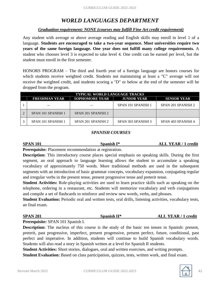# *WORLD LANGUAGES DEPARTMENT*

#### *Graduation requirement: NONE (courses may fulfill Fine Art credit requirement)*

Any student with average or above average reading and English skills may enroll in level 1 of a language. **Students are encouraged to take a two-year sequence. Most universities require two years of the same foreign language. One year does not fulfill many college requirements.** A student who chooses level 3 is expected to take level 4. One credit can be earned per level, but the student must enroll in the first semester.

HONORS PROGRAM – The third and fourth year of a foreign language are honors courses for which students receive weighted credit. Students not maintaining at least a "C" average will not receive the weighted credit, and students scoring a "D" or below at the end of the semester will be dropped from the program.

| <b>TYPICAL WORLD LANGUAGE TRACKS</b>                                                      |                    |                    |                    |  |
|-------------------------------------------------------------------------------------------|--------------------|--------------------|--------------------|--|
| <b>FRESHMAN YEAR</b><br><b>SOPHOMORE YEAR</b><br><b>SENIOR YEAR</b><br><b>JUNIOR YEAR</b> |                    |                    |                    |  |
|                                                                                           |                    | SPAN 101 SPANISH 1 | SPAN 201 SPANISH 2 |  |
| SPAN 101 SPANISH 1                                                                        | SPAN 201 SPANISH 2 |                    |                    |  |
| SPAN 101 SPANISH 1                                                                        | SPAN 201 SPANISH 2 | SPAN 303 SPANISH 3 | SPAN 403 SPANISH 4 |  |

#### *SPANISH COURSES*

### **SPAN 101 Spanish I\* ALL YEAR / 1 credit**

**Prerequisite:** Placement recommendation at registration.

**Description:** This introductory course places special emphasis on speaking skills. During the first segment, an oral approach to language learning allows the student to accumulate a speaking vocabulary of approximately 750 words. More traditional methods are used in the subsequent segments with an introduction of basic grammar concepts, vocabulary expansion, conjugating regular and irregular verbs in the present tense, present progressive tense and preterit tense.

**Student Activities:** Role-playing activities are used to learn practice skills such as speaking on the telephone, ordering in a restaurant, etc. Students will memorize vocabulary and verb conjugations and compile a set of flashcards to reinforce and review new words, verbs, and phrases.

**Student Evaluation:** Periodic oral and written tests, oral drills, listening activities, vocabulary tests, an final exam.

**SPAN 201 Spanish II\* ALL YEAR / 1 credit**

**Prerequisite:** SPAN 101 Spanish I.

**Description:** The nucleus of this course is the study of the basic ten tenses in Spanish: present, preterit, past progressive, imperfect, present progressive, present perfect, future, conditional, past perfect and imperative. In addition, students will continue to build Spanish vocabulary words. Students will also read a story in Spanish written at a level for Spanish II students.

**Student Activities:** Short stories, dialogues, oral and written exercises, and writing prompts.

**Student Evaluation:** Based on class participation, quizzes, tests, written work, and final exam.

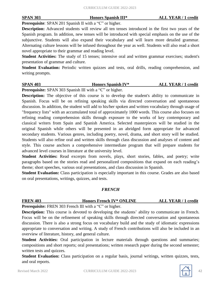**SPAN 303 Honors Spanish III\* ALL YEAR / 1 credit**

**Prerequisite**: SPAN 201 Spanish II with a "C" or higher.

**Description:** Advanced students will review all ten tenses introduced in the first two years of the Spanish program. In addition, new tenses will be introduced with special emphasis on the use of the subjunctive. Students will also expand their vocabulary and will learn more detailed grammar. Alternating culture lessons will be infused throughout the year as well. Students will also read a short novel appropriate to their grammar and reading level.

**Student Activities:** The study of 15 tenses; intensive oral and written grammar exercises; student's presentation of grammar and culture.

**Student Evaluation:** Periodic written quizzes and tests, oral drills, reading comprehension, and writing prompts.

#### **SPAN 403 Honors Spanish IV\* ALL YEAR / 1 credit Prerequisite:** SPAN 303 Spanish III with a "C" or higher.

**Description:** The objective of this course is to develop the student's ability to communicate in Spanish. Focus will be on refining speaking skills via directed conversation and spontaneous discussion. In addition, the student will add to his/her spoken and written vocabulary through usage of "frequency lists" with an accumulated total of approximately 1000 words. This course also focuses on refining reading comprehension skills through exposure to the works of key contemporary and classical writers from Spain and Spanish America. Selected masterpieces will be studied in the original Spanish while others will be presented in an abridged form appropriate for advanced secondary students. Various genres, including poetry, novel, drama, and short story will be studied. Students will also refine oral and written skills through class discussion and analyses of content and style. This course anchors a comprehensive intermediate program that will prepare students for advanced level courses in literature at the university level.

**Student Activities:** Read excerpts from novels, plays, short stories, fables, and poetry; write paragraphs based on the stories read and personalized compositions that expand on each reading's theme; short speeches, various oral presentations, and class discussion in Spanish.

**Student Evaluation:** Class participation is especially important in this course. Grades are also based on oral presentations, writings, quizzes, and tests.

#### *FRENCH*

#### **FREN 403 Honors French IV\* ONLINE ALL YEAR / 1 credit**

**Prerequisite:** FREN 303 French III with a "C" or higher.

**Description:** This course is devoted to developing the students' ability to communicate in French. Focus will be on the refinement of speaking skills through directed conversation and spontaneous discussion. There is also a strong focus on vocabulary build and the study of idiomatic expressions appropriate to conversation and writing. A study of French contributions will also be included in an overview of literature, history, and general culture.

**Student Activities:** Oral participation in lecture materials through questions and summaries; compositions and short reports; oral presentations; written research paper during the second semester; written tests and quizzes.

**Student Evaluation:** Class participation on a regular basis, journal writings, written quizzes, tests, and oral reports.

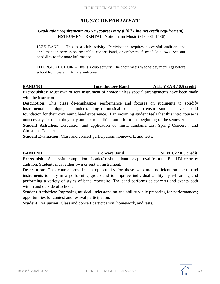# *MUSIC DEPARTMENT*

#### *Graduation requirement: NONE (courses may fulfill Fine Art credit requirement)* INSTRUMENT RENTAL: Nottelmann Music (314-631-1486)

JAZZ BAND – This is a club activity. Participation requires successful audition and enrollment in percussion ensemble, concert band, or orchestra if schedule allows. See our band director for more information.

LITURGICAL CHOIR – This is a club activity. The choir meets Wednesday mornings before school from 8-9 a.m. All are welcome.

#### **BAND 101 Introductory Band ALL YEAR / 0.5 credit**

Prerequisites: Must own or rent instrument of choice unless special arrangements have been made with the instructor.

**Description:** This class de-emphasizes performance and focuses on rudiments to solidify instrumental technique, and understanding of musical concepts, to ensure students have a solid foundation for their continuing band experience. If an incoming student feels that this intro course is unnecessary for them, they may attempt to audition out prior to the beginning of the semester.

**Student Activities**: Discussion and application of music fundamentals, Spring Concert , and Christmas Concert.

**Student Evaluation:** Class and concert participation, homework, and tests.

**BAND 201 Concert Band SEM 1/2 / 0.5 credit Prerequisite:** Successful completion of cadet/freshman band or approval from the Band Director by

audition. Students must either own or rent an instrument.

**Description:** This course provides an opportunity for those who are proficient on their band instruments to play in a performing group and to improve individual ability by rehearsing and performing a variety of styles of band repertoire. The band performs at concerts and events both within and outside of school.

**Student Activities:** Improving musical understanding and ability while preparing for performances; opportunities for contest and festival participation.

**Student Evaluation:** Class and concert participation, homework, and tests.

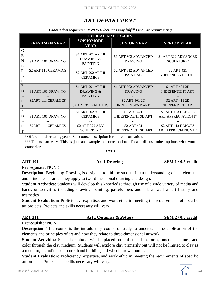# *ART DEPARTMENT*

#### *Graduation requirement: NONE (courses may fulfill Fine Art requirement)*

|                                                        | <b>TYPICAL ART TRACKS</b>                        |                                                                                                         |                                                                                              |                                                                                                                 |  |
|--------------------------------------------------------|--------------------------------------------------|---------------------------------------------------------------------------------------------------------|----------------------------------------------------------------------------------------------|-----------------------------------------------------------------------------------------------------------------|--|
|                                                        | <b>FRESHMAN YEAR</b>                             | <b>SOPHOMORE</b><br>YEAR                                                                                | <b>JUNIOR YEAR</b>                                                                           | <b>SENIOR YEAR</b>                                                                                              |  |
| G<br>E<br>$\mathbf N$<br>E<br>$\mathbf R$<br>A<br>L    | S1 ART 101 DRAWING<br><b>S2 ART 111 CERAMICS</b> | <b>S1 ART 201 ART II</b><br>DRAWING &<br><b>PAINTING</b><br><b>S2 ART 202 ART II</b><br><b>CERAMICS</b> | S1 ART 302 ADVANCED<br><b>DRAWING</b><br>S <sub>2</sub> ART 312 ADVANCED<br><b>PAINTING</b>  | S1 ART 322 ADVANCED<br><b>SCULPTURE</b><br>S <sub>2</sub> ART 431<br><b>INDEPENDENT 3D ART</b>                  |  |
| $\overline{2}$<br>D<br>A<br>$\mathbf R$<br>$\mathbf T$ | S1 ART 101 DRAWING<br><b>S2ART 111 CERAMICS</b>  | <b>S1 ART 201 ART II</b><br>DRAWING &<br><b>PAINTING</b><br>S <sub>2</sub> ART 312 PAINTING             | S1 ART 302 ADVANCED<br><b>DRAWING</b><br>S <sub>2</sub> ART 401 2D<br><b>INDEPENDENT ART</b> | S1 ART 401 2D<br><b>INDEPENDENT ART</b><br>S <sub>2</sub> ART 411 2D<br><b>INDEPENDENT ART</b>                  |  |
| 3<br>D<br>A<br>$\mathbf R$<br>T                        | S1 ART 101 DRAWING<br><b>S2ART 111 CERAMICS</b>  | <b>S1 ART 202 ART II</b><br><b>CERAMICS</b><br><b>S2 ART 322 ADV</b><br><b>SCULPTURE</b>                | S1 ART 421<br><b>INDEPENDENT 3D ART</b><br><b>S2 ART 431</b><br><b>INDEPENDENT 3D ART</b>    | S1 ART 403 HONORS<br><b>ART APPRECIATION I*</b><br>S <sub>2</sub> ART 413 HONORS<br><b>ART APPRECIATION II*</b> |  |

\*Offered in alternating years. See course description for more information.

\*\*\*Tracks can vary. This is just an example of some options. Please discuss other options with your counselor.

#### *ART 1*

# **ART 101 Art I Drawing SEM 1 / 0.5 credit**

#### **Prerequisite:** NONE

**Description:** Beginning Drawing is designed to aid the student in an understanding of the elements and principles of art as they apply to two-dimensional drawing and design.

**Student Activities:** Students will develop this knowledge through use of a wide variety of media and hands on activities including drawing, painting, pastels, pen, and ink as well as art history and aesthetics.

**Student Evaluation:** Proficiency, expertise, and work ethic in meeting the requirements of specific art projects. Projects and skills necessary will vary.

| <b>ART 111</b>                                                                                   | <b>Art I Ceramics &amp; Pottery</b> | <b>SEM 2/0.5 credit</b> |
|--------------------------------------------------------------------------------------------------|-------------------------------------|-------------------------|
| $D_{\text{noncon}}$ $\alpha$ $\alpha$ $\beta$ $\beta$ $\alpha$ $\alpha$ $\beta$ $\beta$ $\alpha$ |                                     |                         |

**Prerequisite:** NONE

**Description:** This course is the introductory course of study to understand the application of the elements and principles of art and how they relate to three-dimensional artwork.

**Student Activities:** Special emphasis will be placed on craftsmanship, form, function, texture, and color through the clay medium. Students will explore clay primarily but will not be limited to clay as a medium, including sculpture, hand building and wheel thrown potter.

**Student Evaluation:** Proficiency, expertise, and work ethic in meeting the requirements of specific art projects. Projects and skills necessary will vary.

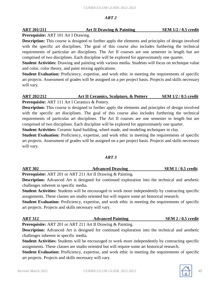#### *ART 2*

#### **ART 201/211 Art II Drawing & Painting SEM 1/2 / 0.5 credit**

### **Prerequisite:** ART 101 Art I Drawing.

**Description:** This course is designed to further apply the elements and principles of design involved with the specific art disciplines. The goal of this course also includes furthering the technical requirements of particular art disciplines. The Art II courses are one semester in length but are comprised of two disciplines. Each discipline will be explored for approximately one quarter.

**Student Activities:** Drawing and painting with various media. Students will focus on technique value and color, color theory, and paint mixing applications.

**Student Evaluation:** Proficiency, expertise, and work ethic in meeting the requirements of specific art projects. Assessment of grades will be assigned on a per project basis. Projects and skills necessary will vary.

#### **ART 202/212 Art II Ceramics, Sculpture, & Pottery SEM 1/2 / 0.5 credit Prerequisite:** ART 111 Art I Ceramics & Pottery.

**Description:** This course is designed to further apply the elements and principles of design involved with the specific art disciplines. The goal of this course also includes furthering the technical requirements of particular art disciplines. The Art II courses are one semester in length but are comprised of two disciplines. Each discipline will be explored for approximately one quarter.

**Student Activities:** Ceramic hand building, wheel made, and modeling techniques in clay.

**Student Evaluation:** Proficiency, expertise, and work ethic in meeting the requirements of specific art projects. Assessment of grades will be assigned on a per project basis. Projects and skills necessary will vary.

### *ART 3*

# **ART 302 Advanced Drawing SEM 1 / 0.5 credit**

**Prerequisite:** ART 201 or ART 211 Art II Drawing & Painting.

**Description:** Advanced Art is designed for continued exploration into the technical and aesthetic challenges inherent in specific media.

**Student Activities:** Students will be encouraged to work more independently by contracting specific assignments. These classes are studio oriented but will require some art historical research.

**Student Evaluation:** Proficiency, expertise, and work ethic in meeting the requirements of specific art projects. Projects and skills necessary will vary.

**ART 312 Advanced Painting SEM 2 / 0.5 credit**

**Prerequisite:** ART 201 or ART 211 Art II Drawing & Painting.

**Description:** Advanced Art is designed for continued exploration into the technical and aesthetic challenges inherent in specific media.

**Student Activities:** Students will be encouraged to work more independently by contracting specific assignments. These classes are studio oriented but will require some art historical research.

**Student Evaluation:** Proficiency, expertise, and work ethic in meeting the requirements of specific art projects. Projects and skills necessary will vary.

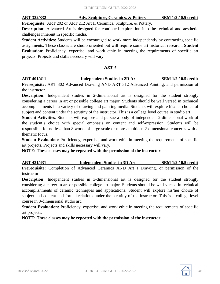**ART 322/332 Adv. Sculpture, Ceramics, & Pottery SEM 1/2 / 0.5 credit**

**Prerequisite:** ART 202 or ART 212 Art II Ceramics, Sculpture, & Pottery.

**Description:** Advanced Art is designed for continued exploration into the technical and aesthetic challenges inherent in specific media.

**Student Activities:** Students will be encouraged to work more independently by contracting specific assignments. These classes are studio oriented but will require some art historical research. **Student Evaluation:** Proficiency, expertise, and work ethic in meeting the requirements of specific art projects. Projects and skills necessary will vary.

#### *ART 4*

**ART 401/411 Independent Studies in 2D Art SEM 1/2 / 0.5 credit**

**Prerequisite:** ART 302 Advanced Drawing AND ART 312 Advanced Painting, and permission of the instructor.

**Description:** Independent studies in 2-dimensional art is designed for the student strongly considering a career in art or possible college art major. Students should be well versed in technical accomplishments in a variety of drawing and painting media. Students will explore his/her choice of subject and content under the scrutiny of the instructor. This is a college level course in studio art.

**Student Activities**: Students will explore and pursue a body of independent 2-dimensional work of the student's choice with special emphasis on content and self-expression. Students will be responsible for no less than 8 works of large scale or more ambitious 2-dimensional concerns with a thematic focus.

**Student Evaluation**: Proficiency, expertise, and work ethic in meeting the requirements of specific art projects. Projects and skills necessary will vary.

**NOTE: These classes may be repeated with the permission of the instructor.**

**ART 421/431 Independent Studies in 3D Art SEM 1/2 / 0.5 credit Prerequisite:** Completion of Advanced Ceramics AND Art I Drawing, or permission of the instructor.

**Description:** Independent studies in 3-dimensional art is designed for the student strongly considering a career in art or possible college art major. Students should be well versed in technical accomplishments of ceramic techniques and applications. Student will explore his/her choice of subject and content and formal relations under the scrutiny of the instructor. This is a college level course in 3-dimensional studio art.

**Student Evaluation:** Proficiency, expertise, and work ethic in meeting the requirements of specific art projects.

**NOTE: These classes may be repeated with the permission of the instructor.**

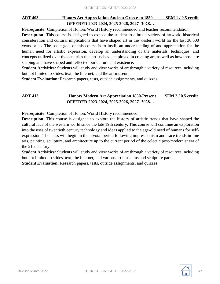### **ART 403 Honors Art Appreciation Ancient Greece to 1850 SEM 1 / 0.5 credit OFFERED 2023-2024, 2025-2026, 2027- 2028…**

**Prerequisite:** Completion of Honors World History recommended and teacher recommendation.

**Description:** This course is designed to expose the student to a broad variety of artwork, historical consideration and cultural implications that have shaped art in the western world for the last 30,000 years or so. The basic goal of this course is to instill an understanding of and appreciation for the human need for artistic expression, develop an understanding of the materials, techniques, and concepts utilized over the centuries that artists have employed in creating art, as well as how those are shaping and have shaped and reflected our culture and existence.

**Student Activities:** Students will study and view works of art through a variety of resources including but not limited to slides, text, the Internet, and the art museum.

**Student Evaluation:** Research papers, tests, outside assignments, and quizzes.

### **ART 413 Honors Modern Art Appreciation 1850-Present SEM 2 / 0.5 credit OFFERED 2023-2024, 2025-2026, 2027- 2028…**

**Prerequisite:** Completion of Honors World History recommended.

**Description:** This course is designed to explore the history of artistic trends that have shaped the cultural face of the western world since the late 19th century. This course will continue an exploration into the uses of twentieth century technology and ideas applied to the age-old need of humans for selfexpression. The class will begin in the pivotal period following impressionism and trace trends in fine arts, painting, sculpture, and architecture up to the current period of the eclectic post-modernist era of the 21st century.

**Student Activities:** Students will study and view works of art through a variety of resources including but not limited to slides, text, the Internet, and various art museums and sculpture parks.

**Student Evaluation:** Research papers, tests, outside assignments, and quizzes

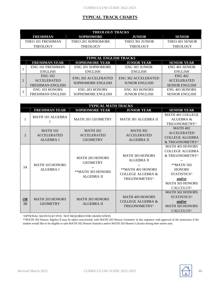### **TYPICAL TRACK CHARTS**

| <b>THEOLOGY TRACKS</b> |                    |                 |                 |  |
|------------------------|--------------------|-----------------|-----------------|--|
| FRESHMAN               | <b>SOPHOMORE</b>   | <b>HINIOR</b>   | <b>SENIOR</b>   |  |
| THEO 101 FRESHMAN      | THEO 201 SOPHOMORE | THEO 301 JUNIOR | THEO 401 SENIOR |  |
| THEOLOGY               | THEOLOGY           | <b>THEOLOGY</b> | <b>THEOLOGY</b> |  |

| <b>TYPICAL ENGLISH TRACKS</b> |                          |                       |                       |  |  |
|-------------------------------|--------------------------|-----------------------|-----------------------|--|--|
| <b>FRESHMAN YEAR</b>          | <b>SOPHOMORE YEAR</b>    | <b>JUNIOR YEAR</b>    | <b>SENIOR YEAR</b>    |  |  |
| <b>ENG 101 FRESHMAN</b>       | <b>ENG 201 SOPHOMORE</b> | <b>ENG 301 JUNIOR</b> | ENG 401 SENIOR        |  |  |
| <b>ENGLISH</b>                | <b>ENGLISH</b>           | <b>ENGLISH</b>        | <b>ENGLISH</b>        |  |  |
| <b>ENG 102</b>                | ENG 202 ACCELERATED      | ENG 302 ACCELERATED   | <b>ENG 402</b>        |  |  |
| <b>ACCELERATED</b>            |                          |                       | <b>ACCELERATED</b>    |  |  |
| <b>FRESHMAN ENGLISH</b>       | <b>SOPHOMORE ENGLISH</b> | <b>JUNIOR ENGLISH</b> | <b>SENIOR ENGLISH</b> |  |  |
| ENG 103 HONORS                | <b>ENG 203 HONORS</b>    | <b>ENG 303 HONORS</b> | <b>ENG 403 HONORS</b> |  |  |
| FRESHMAN ENGLISH              | <b>SOPHOMORE ENGLISH</b> | <b>JUNIOR ENGLISH</b> | <b>SENIOR ENGLISH</b> |  |  |

|                       | <b>TYPICAL MATH TRACKS</b>                                |                                                                                     |                                                                                                                   |                                                                                                                                                                                |  |
|-----------------------|-----------------------------------------------------------|-------------------------------------------------------------------------------------|-------------------------------------------------------------------------------------------------------------------|--------------------------------------------------------------------------------------------------------------------------------------------------------------------------------|--|
|                       | <b>FRESHMAN YEAR</b>                                      | <b>SOPHOMORE YEAR</b>                                                               | <b>JUNIOR YEAR</b>                                                                                                | <b>SENIOR YEAR</b>                                                                                                                                                             |  |
|                       | <b>MATH 101 ALGEBRA</b>                                   | <b>MATH 201 GEOMETRY</b>                                                            | MATH 301 ALGEBRA II                                                                                               | MATH 401 COLLEGE<br>ALGEBRA &<br>TRIGONOMETRY^                                                                                                                                 |  |
| $\overline{2}$        | <b>MATH 102</b><br><b>ACCELERATED</b><br><b>ALGEBRA I</b> | <b>MATH 202</b><br><b>ACCELERATED</b><br><b>GEOMETRY</b>                            | <b>MATH 302</b><br><b>ACCELERATED</b><br><b>ALGEBRA II</b>                                                        | <b>MATH 402</b><br><b>ACCELERATED</b><br><b>COLLEGE ALGEBRA</b><br>& TRIGONOMETRY^                                                                                             |  |
| 3A                    | <b>MATH 103 HONORS</b><br><b>ALGEBRA I</b>                | <b>MATH 203 HONORS</b><br><b>GEOMETRY</b><br>**MATH 303 HONORS<br><b>ALGEBRA II</b> | <b>MATH 303 HONORS</b><br><b>ALGEBRA II</b><br>**MATH 403 HONORS<br><b>COLLEGE ALGEBRA &amp;</b><br>TRIGONOMETRY^ | <b>MATH 403 HONORS</b><br><b>COLLEGE ALGEBRA</b><br>& TRIGONOMETRY^<br>**MATH 502<br><b>HONORS</b><br>STATISTICS^<br>and/or<br><b>MATH 503 HONORS</b><br>CALCULUS <sup>^</sup> |  |
| $\overline{OR}$<br>3B | <b>MATH 203 HONORS</b><br><b>GEOMETRY</b>                 | <b>MATH 303 HONORS</b><br><b>ALGEBRA II</b>                                         | <b>MATH 403 HONORS</b><br><b>COLLEGE ALGEBRA &amp;</b><br>TRIGONOMETRY^                                           | <b>MATH 502 HONORS</b><br>STATISTICS^<br>and/or<br><b>MATH 503 HONORS</b><br>CALCULUS <sup>^</sup>                                                                             |  |

^OPTIONAL MATH ELECTIVE. NOT REQUIRED FOR GRADUATION

\*\*MATH 303 Honors Algebra II may be taken concurrently with MATH 203 Honors Geometry in this sequence with approval of the instructors if the student would like to be eligible to take MATH 502 Honors Statistics and/or MATH 503 Honors Calculus during their senior year.

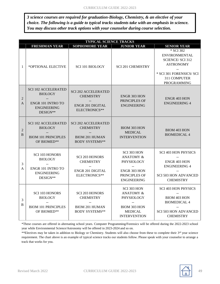*3 science courses are required for graduation-Biology, Chemistry, & an elective of your choice. The following is a guide to typical tracks students take with an emphasis in science. You may discuss other track options with your counselor during course selection.*

|                     | <b>TYPICAL SCIENCE TRACKS</b>                                                                       |                                                                                                         |                                                                                                                          |                                                                                                                                                   |
|---------------------|-----------------------------------------------------------------------------------------------------|---------------------------------------------------------------------------------------------------------|--------------------------------------------------------------------------------------------------------------------------|---------------------------------------------------------------------------------------------------------------------------------------------------|
|                     | <b>FRESHMAN YEAR</b>                                                                                | <b>SOPHOMORE YEAR</b>                                                                                   | <b>JUNIOR YEAR</b>                                                                                                       | <b>SENIOR YEAR</b>                                                                                                                                |
| 1                   | *OPTIONAL ELECTIVE                                                                                  | SCI 101 BIOLOGY                                                                                         | <b>SCI 201 CHEMISTRY</b>                                                                                                 | * SCI 302<br><b>ENVIRONMENTAL</b><br><b>SCIENCE/SCI 312</b><br><b>ASTRONOMY</b><br>* SCI 301 FORENSICS/ SCI<br>311 COMPUTER<br><b>PROGRAMMING</b> |
| $\overline{2}$<br>A | <b>SCI 102 ACCELERATED</b><br><b>BIOLOGY</b><br>ENGR 101 INTRO TO<br><b>ENGINEERING</b><br>DESIGN** | <b>SCI 202 ACCELERATED</b><br><b>CHEMISTRY</b><br><b>ENGR 201 DIGITAL</b><br>ELECTRONICS**              | ENGR 303 HON<br>PRINCIPLES OF<br><b>ENGINEERING</b>                                                                      | <b>ENGR 403 HON</b><br><b>ENGINEERING 4</b>                                                                                                       |
| $\overline{2}$<br>B | <b>SCI 102 ACCELERATED</b><br><b>BIOLOGY</b><br><b>BIOM 101 PRINCIPLES</b><br>OF BIOMED**           | <b>SCI 202 ACCELERATED</b><br><b>CHEMISTRY</b><br><b>BIOM 201 HUMAN</b><br><b>BODY SYSTEMS**</b>        | <b>BIOM 303 HON</b><br><b>MEDICAL</b><br><b>INTERVENTION</b>                                                             | <b>BIOM 403 HON</b><br><b>BIOMEDICAL 4</b>                                                                                                        |
| 3<br>A              | <b>SCI 103 HONORS</b><br><b>BIOLOGY</b><br>ENGR 101 INTRO TO<br><b>ENGINEERING</b><br>DESIGN**      | <b>SCI 203 HONORS</b><br><b>CHEMISTRY</b><br>$\overline{a}$<br><b>ENGR 201 DIGITAL</b><br>ELECTRONICS** | <b>SCI 303 HON</b><br><b>ANATOMY &amp;</b><br>PHYSIOLOGY<br>ENGR 303 HON<br>PRINCIPLES OF<br><b>ENGINEERING</b>          | <b>SCI 403 HON PHYSICS</b><br>ENGR 403 HON<br><b>ENGINEERING 4</b><br><b>SCI 503 HON ADVANCED</b><br><b>CHEMISTRY</b>                             |
| 3<br>$\bf{B}$       | <b>SCI 103 HONORS</b><br><b>BIOLOGY</b><br><b>BIOM 101 PRINCIPLES</b><br>OF BIOMED**                | <b>SCI 203 HONORS</b><br><b>CHEMISTRY</b><br>$\sim$<br><b>BIOM 201 HUMAN</b><br><b>BODY SYSTEMS**</b>   | <b>SCI 303 HON</b><br><b>ANATOMY &amp;</b><br>PHYSIOLOGY<br><b>BIOM 303 HON</b><br><b>MEDICAL</b><br><b>INTERVENTION</b> | <b>SCI 403 HON PHYSICS</b><br><b>BIOM 403 HON</b><br><b>BIOMEDICAL 4</b><br><b>SCI 503 HON ADVANCED</b><br><b>CHEMISTRY</b>                       |

\*These courses are offered in alternating school years. Computer Programming/Forensics will be offered during the 2022-2023 school year while Environmental Science/Astronomy will be offered in 2023-2024 and so on.

\*\*Electives may be taken in addition to Biology or Chemistry. Students will also choose from these to complete their 3<sup>rd</sup> year science requirement. The chart above is an example of typical science tracks our students follow. Please speak with your counselor to arrange a track that works for you.

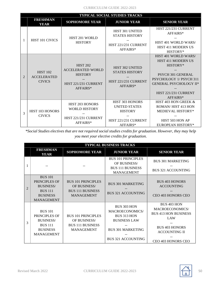|                | <b>TYPICAL SOCIAL STUDIES TRACKS</b>                   |                                                                                                   |                                                                                               |                                                                                                                                                                             |  |
|----------------|--------------------------------------------------------|---------------------------------------------------------------------------------------------------|-----------------------------------------------------------------------------------------------|-----------------------------------------------------------------------------------------------------------------------------------------------------------------------------|--|
|                | <b>FRESHMAN</b><br><b>YEAR</b>                         | <b>SOPHOMORE YEAR</b>                                                                             | <b>JUNIOR YEAR</b>                                                                            | <b>SENIOR YEAR</b>                                                                                                                                                          |  |
| 1              | <b>HIST 101 CIVICS</b>                                 | HIST 201 WORLD<br><b>HISTORY</b>                                                                  | HIST 301 UNITED<br><b>STATES HISTORY</b><br>HIST 221/231 CURRENT<br>AFFAIRS*                  | HIST 221/231 CURRENT<br>AFFAIRS*<br><b>HIST 401 WORLD WARS/</b><br><b>HIST 411 MODERN US</b><br>HISTORY*                                                                    |  |
| $\overline{2}$ | <b>HIST 102</b><br><b>ACCELERATED</b><br><b>CIVICS</b> | <b>HIST 202</b><br><b>ACCELERATED WORLD</b><br><b>HISTORY</b><br>HIST 221/231 CURRENT<br>AFFAIRS* | <b>HIST 302 UNITED</b><br><b>STATES HISTORY</b><br>HIST 221/231 CURRENT<br>AFFAIRS*           | HIST 401 WORLD WARS/<br>HIST 411 MODERN US<br>HISTORY*<br>PSYCH 301 GENERAL<br>PSYCHOLOGY 1/ PSYCH 311<br><b>GENERAL PSYCHOLOGY II*</b><br>HIST 221/231 CURRENT<br>AFFAIRS* |  |
| 3              | <b>HIST 103 HONORS</b><br><b>CIVICS</b>                | <b>HIST 203 HONORS</b><br><b>WORLD HISTORY</b><br>HIST 221/231 CURRENT<br>AFFAIRS*                | HIST 303 HONORS<br><b>UNITED STATES</b><br><b>HISTORY</b><br>HIST 221/231 CURRENT<br>AFFAIRS* | HIST 403 HON GREEK &<br><b>ROMAN/HIST 413 HON</b><br><b>MEDIEVAL HISTORY*</b><br>HIST 503 HON AP<br>EUROPEAN HISTORY*                                                       |  |

*\*Social Studies electives that are not required social studies credits for graduation. However, they may help you meet your elective credits for graduation.*

|                | <b>TYPICAL BUSINESS TRACKS</b>                                                                                |                                                                                           |                                                                                                                                             |                                                                                                                                                           |  |  |  |  |
|----------------|---------------------------------------------------------------------------------------------------------------|-------------------------------------------------------------------------------------------|---------------------------------------------------------------------------------------------------------------------------------------------|-----------------------------------------------------------------------------------------------------------------------------------------------------------|--|--|--|--|
|                | <b>FRESHMAN</b><br><b>YEAR</b>                                                                                | <b>SOPHOMORE YEAR</b>                                                                     | <b>JUNIOR YEAR</b>                                                                                                                          | <b>SENIOR YEAR</b>                                                                                                                                        |  |  |  |  |
|                |                                                                                                               |                                                                                           | <b>BUS 101 PRINCIPLES</b><br>OF BUSINESS/<br><b>BUS 111 BUSINESS</b><br><b>MANAGEMENT</b>                                                   | <b>BUS 301 MARKETING</b><br><b>BUS 321 ACCOUNTING</b>                                                                                                     |  |  |  |  |
| $\mathfrak{D}$ | <b>BUS 101</b><br>PRINCIPLES OF<br><b>BUSINESS/</b><br><b>BUS</b> 111<br><b>BUSINESS</b><br><b>MANAGEMENT</b> | <b>BUS 101 PRINCIPLES</b><br>OF BUSINESS/<br><b>BUS 111 BUSINESS</b><br><b>MANAGEMENT</b> | <b>BUS 301 MARKETING</b><br><b>BUS 321 ACCOUNTING</b>                                                                                       | <b>BUS 403 HONORS</b><br><b>ACCOUNTING</b><br>CEO 403 HONORS CEO                                                                                          |  |  |  |  |
| 3              | <b>BUS 101</b><br>PRINCIPLES OF<br><b>BUSINESS/</b><br><b>BUS</b> 111<br><b>BUSINESS</b><br><b>MANAGEMENT</b> | <b>BUS 101 PRINCIPLES</b><br>OF BUSINESS/<br><b>BUS 111 BUSINESS</b><br><b>MANAGEMENT</b> | BUS 303 HON<br><b>MACROECONOMICS/</b><br><b>BUS 313 HON</b><br><b>BUSINESS LAW</b><br><b>BUS 301 MARKETING</b><br><b>BUS 321 ACCOUNTING</b> | BUS 403 HON<br><b>MACROECONOMICS/</b><br><b>BUS 413 HON BUSINESS</b><br>LAW<br><b>BUS 403 HONORS</b><br><b>ACCOUNTING II</b><br><b>CEO 403 HONORS CEO</b> |  |  |  |  |

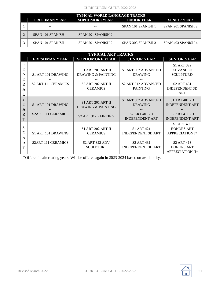#### CURRICULUM GUIDE 2022-2023

| <b>TYPICAL WORLD LANGUAGE TRACKS</b> |                       |                    |                    |  |  |  |  |
|--------------------------------------|-----------------------|--------------------|--------------------|--|--|--|--|
| <b>FRESHMAN YEAR</b>                 | <b>SOPHOMORE YEAR</b> | <b>JUNIOR YEAR</b> | <b>SENIOR YEAR</b> |  |  |  |  |
| $- -$                                |                       | SPAN 101 SPANISH 1 | SPAN 201 SPANISH 2 |  |  |  |  |
| SPAN 101 SPANISH 1                   | SPAN 201 SPANISH 2    |                    |                    |  |  |  |  |
| SPAN 101 SPANISH 1                   | SPAN 201 SPANISH 2    | SPAN 303 SPANISH 3 | SPAN 403 SPANISH 4 |  |  |  |  |

| <b>TYPICAL ART TRACKS</b><br><b>SENIOR YEAR</b><br><b>FRESHMAN YEAR</b><br><b>SOPHOMORE YEAR</b><br><b>JUNIOR YEAR</b><br>G<br><b>S1 ART 322</b><br>E<br>S1 ART 302 ADVANCED<br><b>S1 ART 201 ART II</b><br><b>ADVANCED</b><br>$\mathbf N$<br>S1 ART 101 DRAWING<br>DRAWING & PAINTING<br><b>SCULPTURE/</b><br><b>DRAWING</b><br>E<br><b>S2 ART 111 CERAMICS</b><br>S2 ART 312 ADVANCED<br><b>S2 ART 202 ART II</b><br><b>S2 ART 431</b><br>$\mathbf R$<br><b>CERAMICS</b><br><b>PAINTING</b><br><b>INDEPENDENT 3D</b> |                                                 |                                                                                          |                                                                                              |                                                                                                                                     |  |
|------------------------------------------------------------------------------------------------------------------------------------------------------------------------------------------------------------------------------------------------------------------------------------------------------------------------------------------------------------------------------------------------------------------------------------------------------------------------------------------------------------------------|-------------------------------------------------|------------------------------------------------------------------------------------------|----------------------------------------------------------------------------------------------|-------------------------------------------------------------------------------------------------------------------------------------|--|
|                                                                                                                                                                                                                                                                                                                                                                                                                                                                                                                        |                                                 |                                                                                          |                                                                                              |                                                                                                                                     |  |
| A<br>L                                                                                                                                                                                                                                                                                                                                                                                                                                                                                                                 |                                                 |                                                                                          |                                                                                              | ART                                                                                                                                 |  |
| $\overline{2}$<br>D<br>A<br>$\mathbf R$<br>T                                                                                                                                                                                                                                                                                                                                                                                                                                                                           | S1 ART 101 DRAWING<br><b>S2ART 111 CERAMICS</b> | <b>S1 ART 201 ART II</b><br>DRAWING & PAINTING<br>S <sub>2</sub> ART 312 PAINTING        | S1 ART 302 ADVANCED<br><b>DRAWING</b><br>S <sub>2</sub> ART 401 2D<br><b>INDEPENDENT ART</b> | S1 ART 401 2D<br><b>INDEPENDENT ART</b><br>S <sub>2</sub> ART 411 2D<br><b>INDEPENDENT ART</b>                                      |  |
| 3<br>D<br>A<br>R<br>T                                                                                                                                                                                                                                                                                                                                                                                                                                                                                                  | S1 ART 101 DRAWING<br><b>S2ART 111 CERAMICS</b> | <b>S1 ART 202 ART II</b><br><b>CERAMICS</b><br><b>S2 ART 322 ADV</b><br><b>SCULPTURE</b> | S1 ART 421<br><b>INDEPENDENT 3D ART</b><br><b>S2 ART 431</b><br><b>INDEPENDENT 3D ART</b>    | S1 ART 403<br><b>HONORS ART</b><br><b>APPRECIATION I*</b><br>S <sub>2</sub> ART 413<br><b>HONORS ART</b><br><b>APPRECIATION II*</b> |  |

\*Offered in alternating years. Will be offered again in 2023-2024 based on availability.